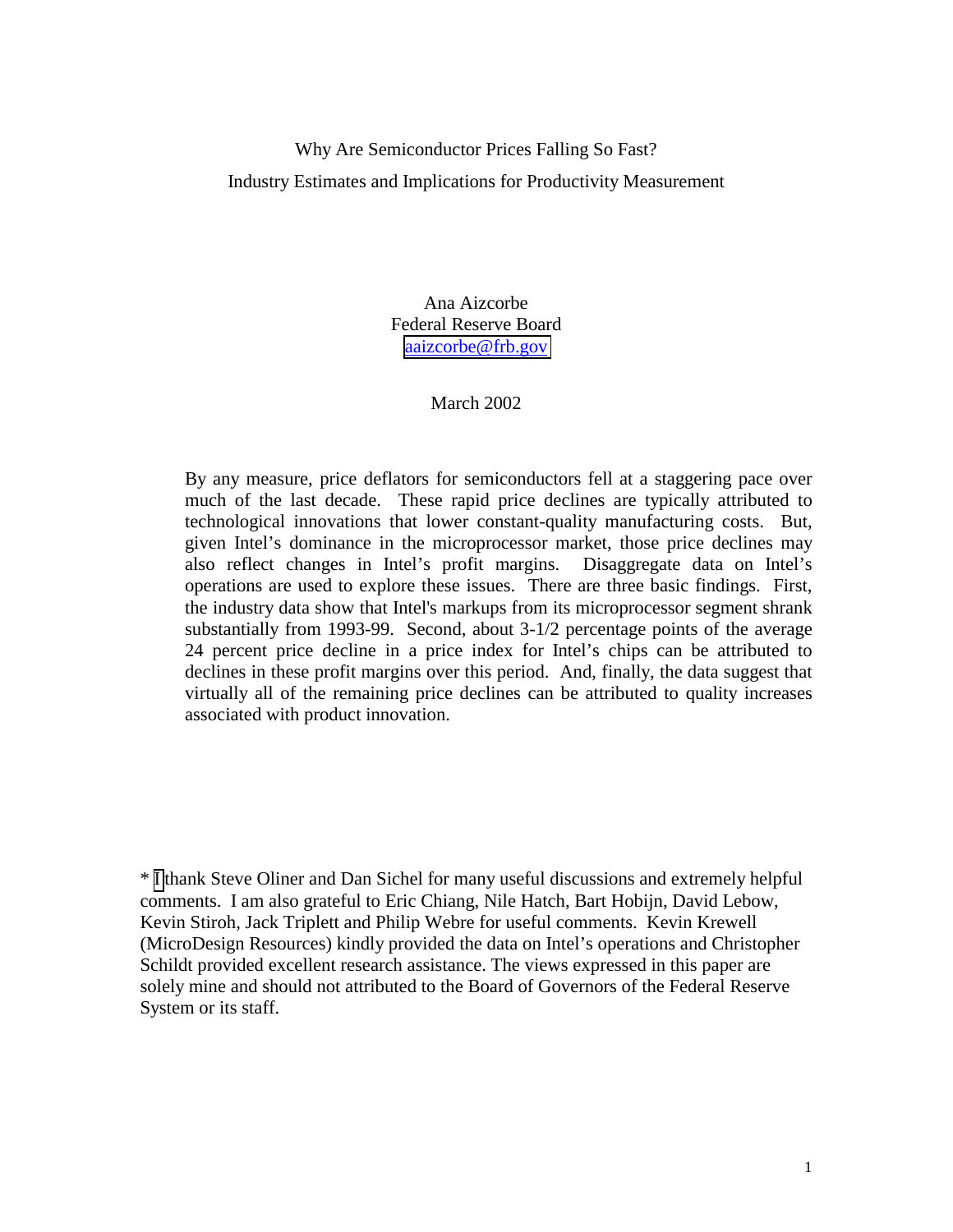# Why Are Semiconductor Prices Falling So Fast? Industry Estimates and Implications for Productivity Measurement

Ana Aizcorbe Federal Reserve Board [aaizcorbe@frb.gov](mailto:aaizcorbe@frb.gov)

## March 2002

By any measure, price deflators for semiconductors fell at a staggering pace over much of the last decade. These rapid price declines are typically attributed to technological innovations that lower constant-quality manufacturing costs. But, given Intel's dominance in the microprocessor market, those price declines may also reflect changes in Intel's profit margins. Disaggregate data on Intel's operations are used to explore these issues. There are three basic findings. First, the industry data show that Intel's markups from its microprocessor segment shrank substantially from 1993-99. Second, about 3-1/2 percentage points of the average 24 percent price decline in a price index for Intel's chips can be attributed to declines in these profit margins over this period. And, finally, the data suggest that virtually all of the remaining price declines can be attributed to quality increases associated with product innovation.

\* [I](mailto:aaizcorbe@frb.gov) thank Steve Oliner and Dan Sichel for many useful discussions and extremely helpful comments. I am also grateful to Eric Chiang, Nile Hatch, Bart Hobijn, David Lebow, Kevin Stiroh, Jack Triplett and Philip Webre for useful comments. Kevin Krewell (MicroDesign Resources) kindly provided the data on Intel's operations and Christopher Schildt provided excellent research assistance. The views expressed in this paper are solely mine and should not attributed to the Board of Governors of the Federal Reserve System or its staff.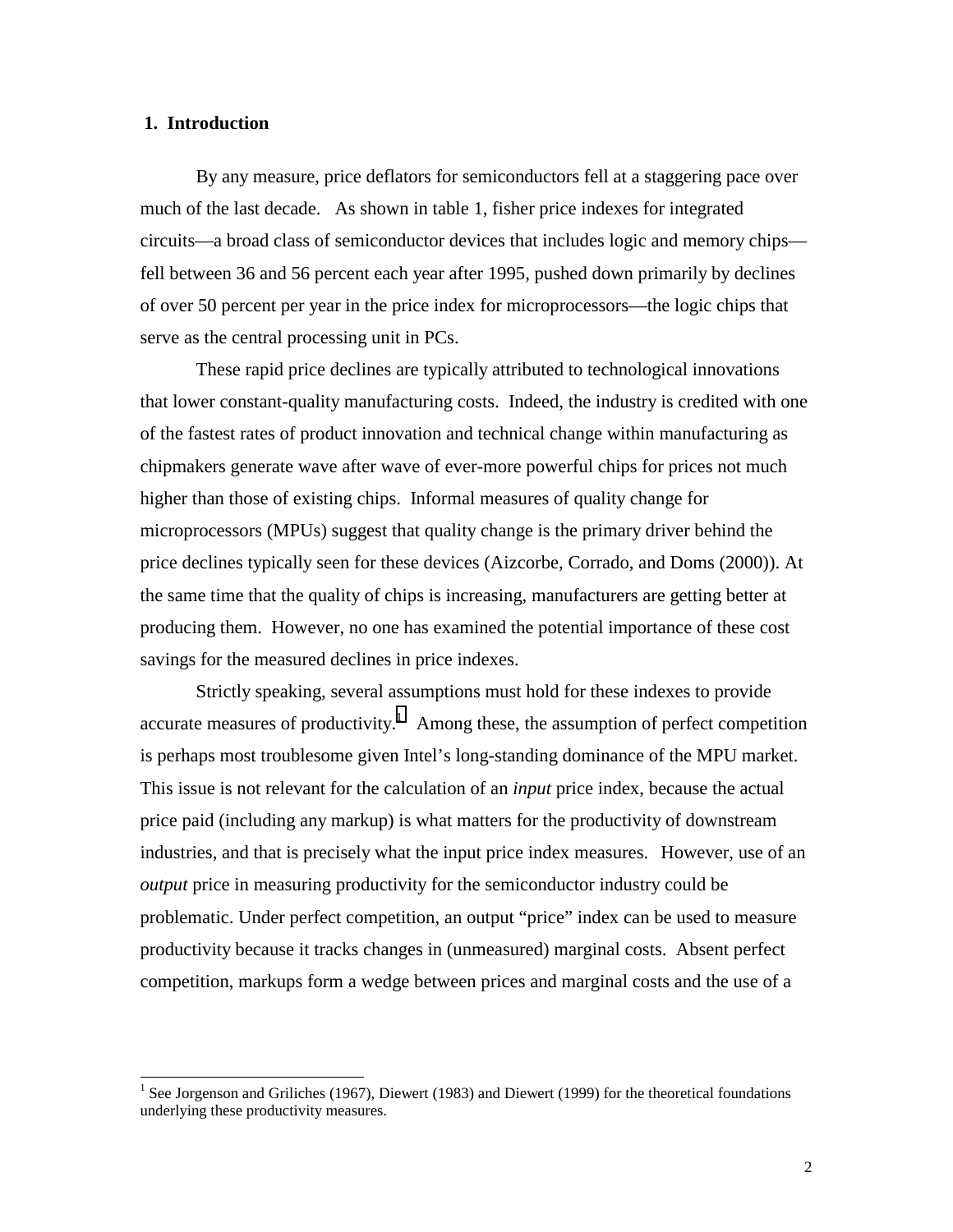### **1. Introduction**

By any measure, price deflators for semiconductors fell at a staggering pace over much of the last decade. As shown in table 1, fisher price indexes for integrated circuits—a broad class of semiconductor devices that includes logic and memory chips fell between 36 and 56 percent each year after 1995, pushed down primarily by declines of over 50 percent per year in the price index for microprocessors—the logic chips that serve as the central processing unit in PCs.

These rapid price declines are typically attributed to technological innovations that lower constant-quality manufacturing costs. Indeed, the industry is credited with one of the fastest rates of product innovation and technical change within manufacturing as chipmakers generate wave after wave of ever-more powerful chips for prices not much higher than those of existing chips. Informal measures of quality change for microprocessors (MPUs) suggest that quality change is the primary driver behind the price declines typically seen for these devices (Aizcorbe, Corrado, and Doms (2000)). At the same time that the quality of chips is increasing, manufacturers are getting better at producing them. However, no one has examined the potential importance of these cost savings for the measured declines in price indexes.

Strictly speaking, several assumptions must hold for these indexes to provide accurate measures of productivity.<sup>1</sup> Among these, the assumption of perfect competition is perhaps most troublesome given Intel's long-standing dominance of the MPU market. This issue is not relevant for the calculation of an *input* price index, because the actual price paid (including any markup) is what matters for the productivity of downstream industries, and that is precisely what the input price index measures. However, use of an *output* price in measuring productivity for the semiconductor industry could be problematic. Under perfect competition, an output "price" index can be used to measure productivity because it tracks changes in (unmeasured) marginal costs. Absent perfect competition, markups form a wedge between prices and marginal costs and the use of a

<sup>&</sup>lt;sup>1</sup> See Jorgenson and Griliches (1967), Diewert (1983) and Diewert (1999) for the theoretical foundations underlying these productivity measures.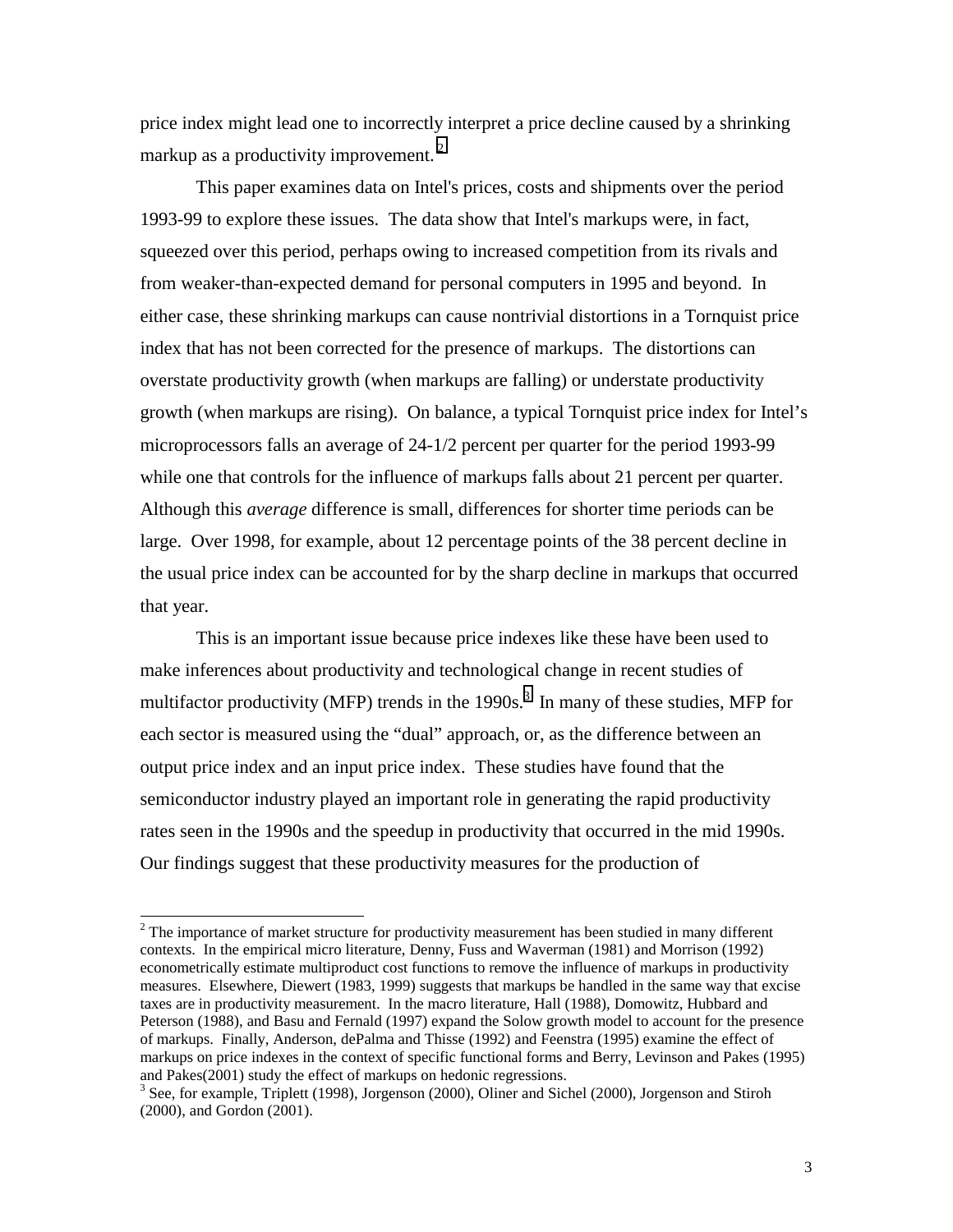price index might lead one to incorrectly interpret a price decline caused by a shrinking markup as a productivity improvement.<sup>2</sup>

This paper examines data on Intel's prices, costs and shipments over the period 1993-99 to explore these issues. The data show that Intel's markups were, in fact, squeezed over this period, perhaps owing to increased competition from its rivals and from weaker-than-expected demand for personal computers in 1995 and beyond. In either case, these shrinking markups can cause nontrivial distortions in a Tornquist price index that has not been corrected for the presence of markups. The distortions can overstate productivity growth (when markups are falling) or understate productivity growth (when markups are rising). On balance, a typical Tornquist price index for Intel's microprocessors falls an average of 24-1/2 percent per quarter for the period 1993-99 while one that controls for the influence of markups falls about 21 percent per quarter. Although this *average* difference is small, differences for shorter time periods can be large. Over 1998, for example, about 12 percentage points of the 38 percent decline in the usual price index can be accounted for by the sharp decline in markups that occurred that year.

This is an important issue because price indexes like these have been used to make inferences about productivity and technological change in recent studies of multifactor productivity (MFP) trends in the 1990s.<sup>3</sup> In many of these studies, MFP for each sector is measured using the "dual" approach, or, as the difference between an output price index and an input price index. These studies have found that the semiconductor industry played an important role in generating the rapid productivity rates seen in the 1990s and the speedup in productivity that occurred in the mid 1990s. Our findings suggest that these productivity measures for the production of

 $\overline{a}$ 

 $2^2$  The importance of market structure for productivity measurement has been studied in many different contexts. In the empirical micro literature, Denny, Fuss and Waverman (1981) and Morrison (1992) econometrically estimate multiproduct cost functions to remove the influence of markups in productivity measures. Elsewhere, Diewert (1983, 1999) suggests that markups be handled in the same way that excise taxes are in productivity measurement. In the macro literature, Hall (1988), Domowitz, Hubbard and Peterson (1988), and Basu and Fernald (1997) expand the Solow growth model to account for the presence of markups. Finally, Anderson, dePalma and Thisse (1992) and Feenstra (1995) examine the effect of markups on price indexes in the context of specific functional forms and Berry, Levinson and Pakes (1995) and Pakes(2001) study the effect of markups on hedonic regressions.

<sup>&</sup>lt;sup>3</sup> See, for example, Triplett (1998), Jorgenson (2000), Oliner and Sichel (2000), Jorgenson and Stiroh (2000), and Gordon (2001).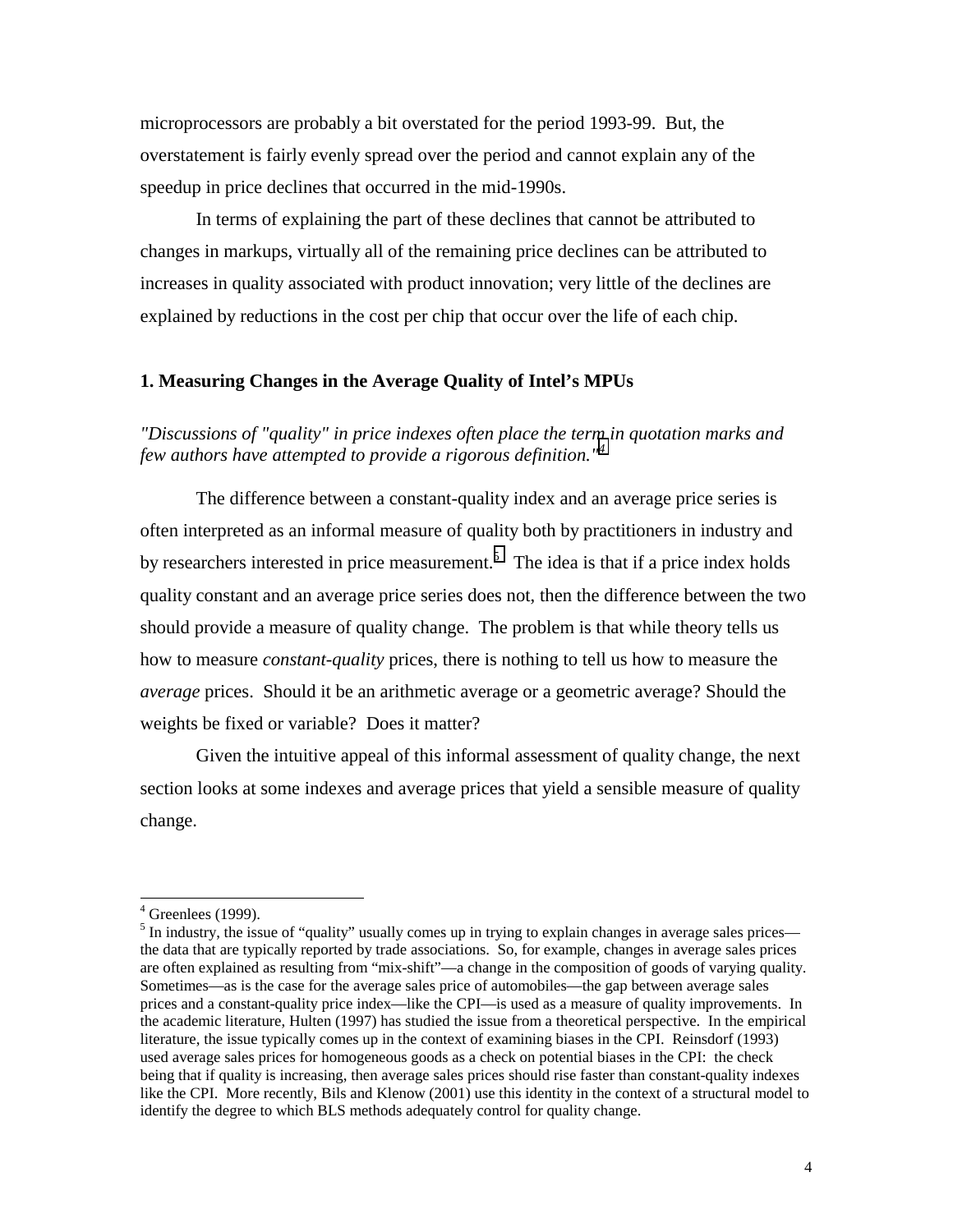microprocessors are probably a bit overstated for the period 1993-99. But, the overstatement is fairly evenly spread over the period and cannot explain any of the speedup in price declines that occurred in the mid-1990s.

In terms of explaining the part of these declines that cannot be attributed to changes in markups, virtually all of the remaining price declines can be attributed to increases in quality associated with product innovation; very little of the declines are explained by reductions in the cost per chip that occur over the life of each chip.

### **1. Measuring Changes in the Average Quality of Intel's MPUs**

*"Discussions of "quality" in price indexes often place the term in quotation marks and few authors have attempted to provide a rigorous definition."<sup>4</sup>* 

The difference between a constant-quality index and an average price series is often interpreted as an informal measure of quality both by practitioners in industry and by researchers interested in price measurement.<sup>5</sup> The idea is that if a price index holds quality constant and an average price series does not, then the difference between the two should provide a measure of quality change. The problem is that while theory tells us how to measure *constant-quality* prices, there is nothing to tell us how to measure the *average* prices. Should it be an arithmetic average or a geometric average? Should the weights be fixed or variable? Does it matter?

 Given the intuitive appeal of this informal assessment of quality change, the next section looks at some indexes and average prices that yield a sensible measure of quality change.

 $\overline{a}$ 

 $4$  Greenlees (1999).

 $<sup>5</sup>$  In industry, the issue of "quality" usually comes up in trying to explain changes in average sales prices—</sup> the data that are typically reported by trade associations. So, for example, changes in average sales prices are often explained as resulting from "mix-shift"—a change in the composition of goods of varying quality. Sometimes—as is the case for the average sales price of automobiles—the gap between average sales prices and a constant-quality price index—like the CPI—is used as a measure of quality improvements. In the academic literature, Hulten (1997) has studied the issue from a theoretical perspective. In the empirical literature, the issue typically comes up in the context of examining biases in the CPI. Reinsdorf (1993) used average sales prices for homogeneous goods as a check on potential biases in the CPI: the check being that if quality is increasing, then average sales prices should rise faster than constant-quality indexes like the CPI. More recently, Bils and Klenow (2001) use this identity in the context of a structural model to identify the degree to which BLS methods adequately control for quality change.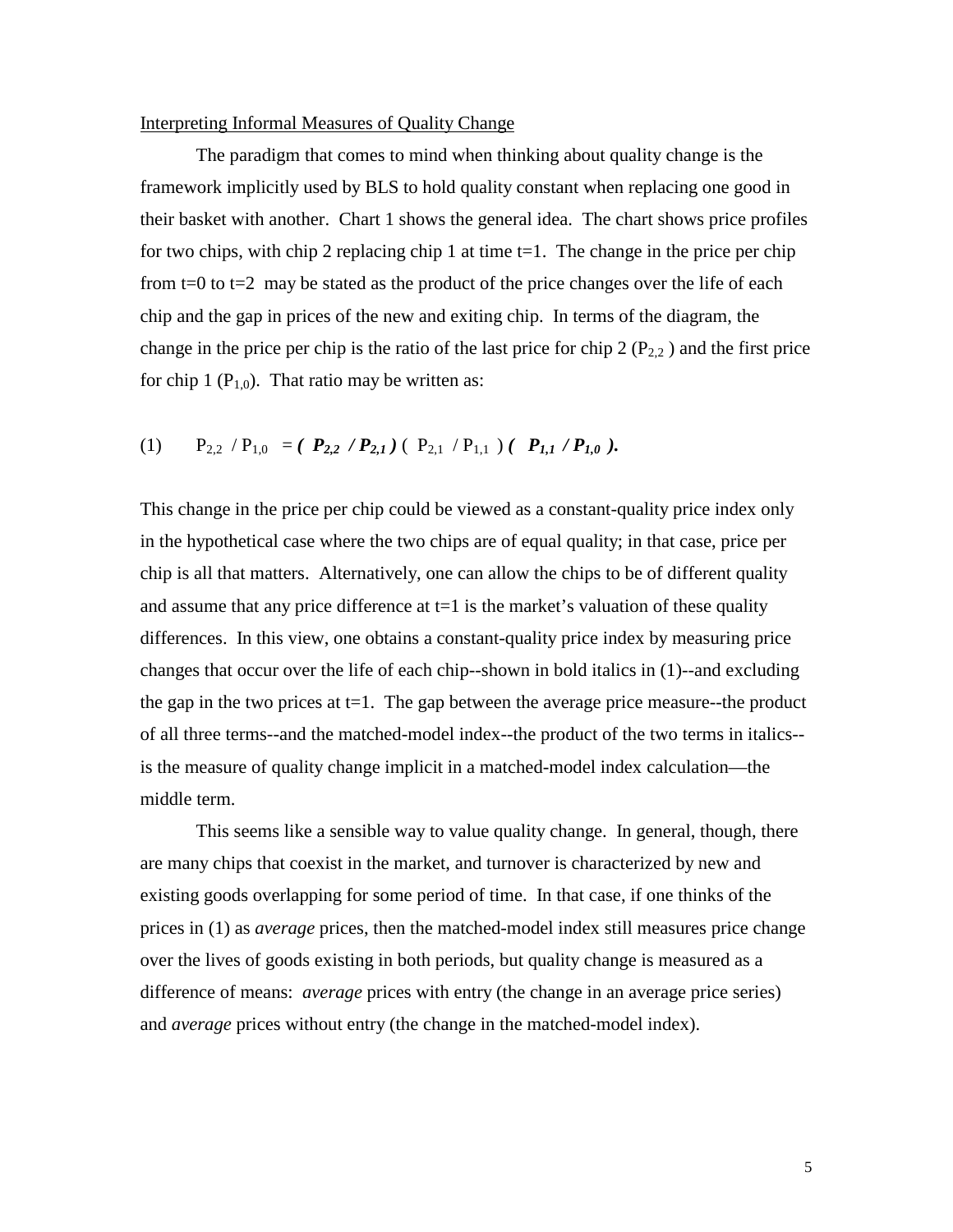### Interpreting Informal Measures of Quality Change

 The paradigm that comes to mind when thinking about quality change is the framework implicitly used by BLS to hold quality constant when replacing one good in their basket with another. Chart 1 shows the general idea. The chart shows price profiles for two chips, with chip 2 replacing chip 1 at time  $t=1$ . The change in the price per chip from  $t=0$  to  $t=2$  may be stated as the product of the price changes over the life of each chip and the gap in prices of the new and exiting chip. In terms of the diagram, the change in the price per chip is the ratio of the last price for chip  $2 (P_{2,2})$  and the first price for chip 1 ( $P_{1,0}$ ). That ratio may be written as:

(1) 
$$
P_{2,2} / P_{1,0} = (P_{2,2} / P_{2,1}) (P_{2,1} / P_{1,1}) (P_{1,1} / P_{1,0}).
$$

This change in the price per chip could be viewed as a constant-quality price index only in the hypothetical case where the two chips are of equal quality; in that case, price per chip is all that matters. Alternatively, one can allow the chips to be of different quality and assume that any price difference at  $t=1$  is the market's valuation of these quality differences. In this view, one obtains a constant-quality price index by measuring price changes that occur over the life of each chip--shown in bold italics in (1)--and excluding the gap in the two prices at  $t=1$ . The gap between the average price measure--the product of all three terms--and the matched-model index--the product of the two terms in italics- is the measure of quality change implicit in a matched-model index calculation—the middle term.

This seems like a sensible way to value quality change. In general, though, there are many chips that coexist in the market, and turnover is characterized by new and existing goods overlapping for some period of time. In that case, if one thinks of the prices in (1) as *average* prices, then the matched-model index still measures price change over the lives of goods existing in both periods, but quality change is measured as a difference of means: *average* prices with entry (the change in an average price series) and *average* prices without entry (the change in the matched-model index).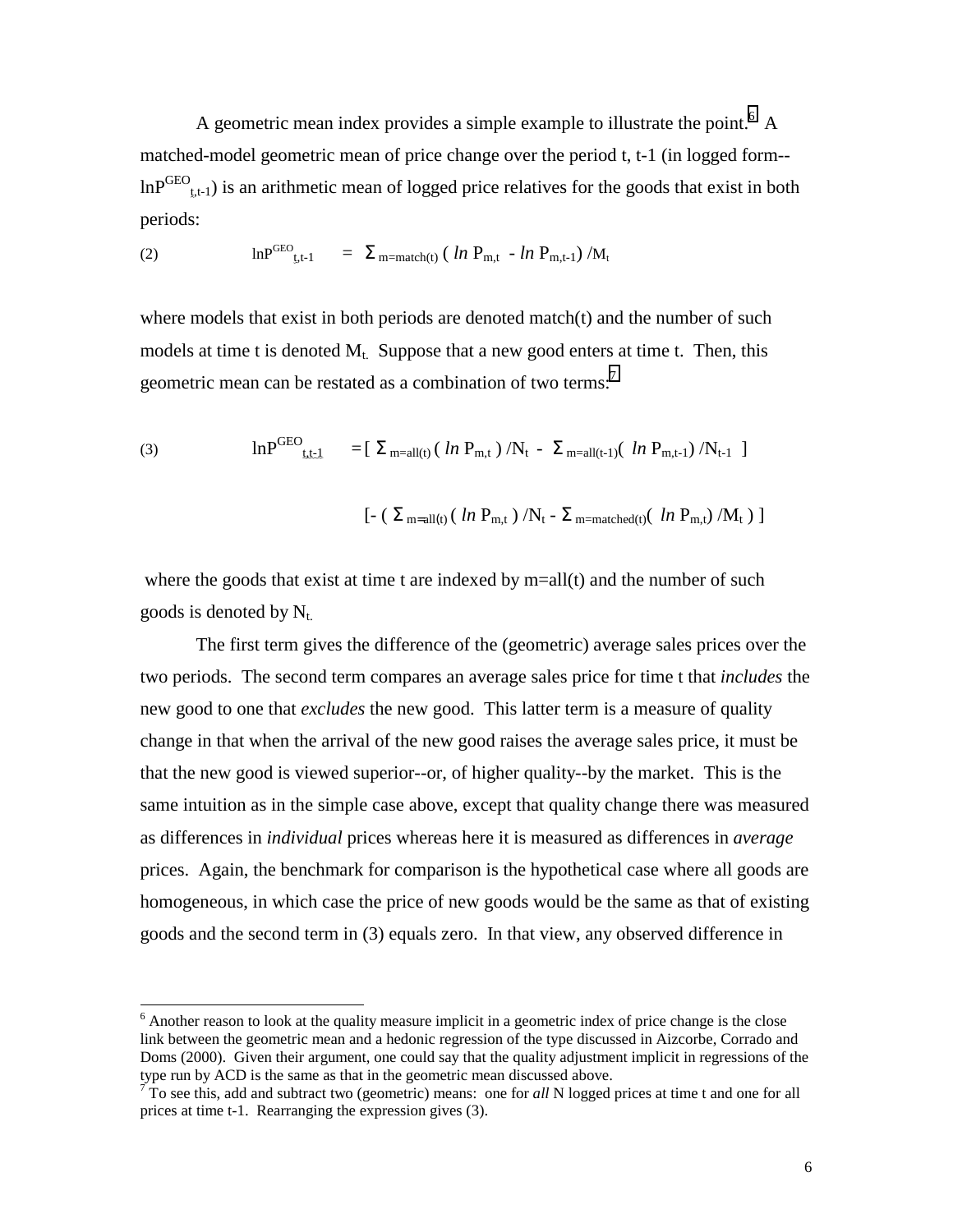A geometric mean index provides a simple example to illustrate the point.<sup>6</sup> A matched-model geometric mean of price change over the period t, t-1 (in logged form-  $lnP<sup>GEO</sup>_{t,t-1}$ ) is an arithmetic mean of logged price relatives for the goods that exist in both periods:

(2) 
$$
\ln P^{\text{GEO}}_{t,t-1} = \sum_{m=\text{match}(t)} (ln P_{m,t} - ln P_{m,t-1}) / M_t
$$

where models that exist in both periods are denoted match $(t)$  and the number of such models at time t is denoted  $M_t$ . Suppose that a new good enters at time t. Then, this geometric mean can be restated as a combination of two terms:<sup>7</sup>

(3) 
$$
\ln P^{\text{GEO}}_{\text{t.t.1}} = [\Sigma_{\text{m=all(t)}} (ln P_{\text{m,t}}) / N_{\text{t}} - \Sigma_{\text{m=all(t-1)}} (ln P_{\text{m,t-1}}) / N_{\text{t-1}}]
$$

$$
\left[ -\; \left(\; \Sigma_{m=all(t)}\; (\; \ln \; P_{m,t}\;)\; / N_t - \Sigma_{m=matched(t)}\; (\; \ln \; P_{m,t})\; / M_t \; \right) \; \right]
$$

where the goods that exist at time t are indexed by  $m=all(t)$  and the number of such goods is denoted by  $N_t$ .

The first term gives the difference of the (geometric) average sales prices over the two periods. The second term compares an average sales price for time t that *includes* the new good to one that *excludes* the new good. This latter term is a measure of quality change in that when the arrival of the new good raises the average sales price, it must be that the new good is viewed superior--or, of higher quality--by the market. This is the same intuition as in the simple case above, except that quality change there was measured as differences in *individual* prices whereas here it is measured as differences in *average* prices. Again, the benchmark for comparison is the hypothetical case where all goods are homogeneous, in which case the price of new goods would be the same as that of existing goods and the second term in (3) equals zero. In that view, any observed difference in

 $\overline{a}$ 

<sup>&</sup>lt;sup>6</sup> Another reason to look at the quality measure implicit in a geometric index of price change is the close link between the geometric mean and a hedonic regression of the type discussed in Aizcorbe, Corrado and Doms (2000). Given their argument, one could say that the quality adjustment implicit in regressions of the type run by ACD is the same as that in the geometric mean discussed above.<br><sup>7</sup> To see this, add and subtract two (geometric) means: one for *all* N logged prices at time t and one for all

prices at time t-1. Rearranging the expression gives (3).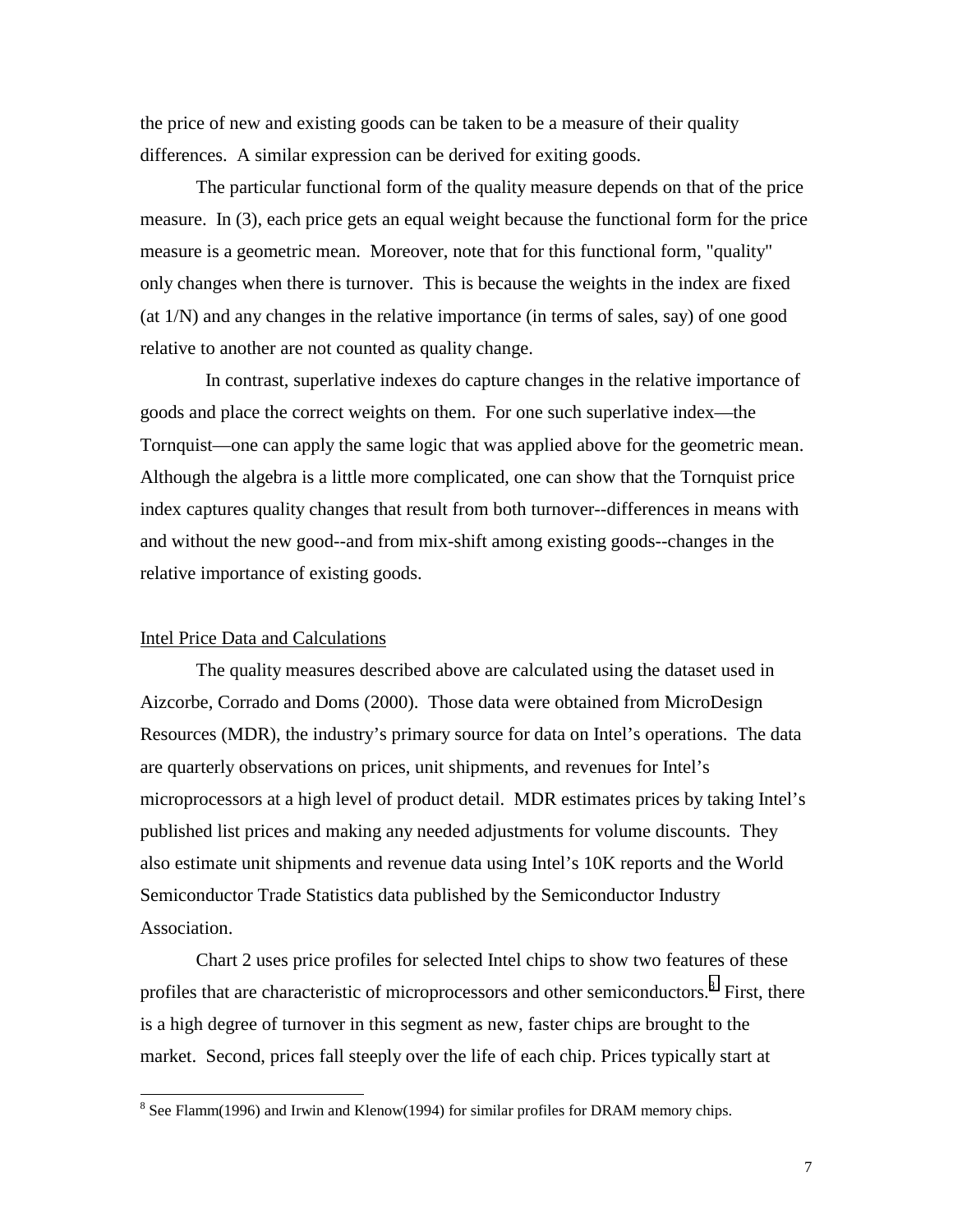the price of new and existing goods can be taken to be a measure of their quality differences. A similar expression can be derived for exiting goods.

The particular functional form of the quality measure depends on that of the price measure. In (3), each price gets an equal weight because the functional form for the price measure is a geometric mean. Moreover, note that for this functional form, "quality" only changes when there is turnover. This is because the weights in the index are fixed (at 1/N) and any changes in the relative importance (in terms of sales, say) of one good relative to another are not counted as quality change.

 In contrast, superlative indexes do capture changes in the relative importance of goods and place the correct weights on them. For one such superlative index—the Tornquist—one can apply the same logic that was applied above for the geometric mean. Although the algebra is a little more complicated, one can show that the Tornquist price index captures quality changes that result from both turnover--differences in means with and without the new good--and from mix-shift among existing goods--changes in the relative importance of existing goods.

## Intel Price Data and Calculations

 $\overline{a}$ 

The quality measures described above are calculated using the dataset used in Aizcorbe, Corrado and Doms (2000). Those data were obtained from MicroDesign Resources (MDR), the industry's primary source for data on Intel's operations. The data are quarterly observations on prices, unit shipments, and revenues for Intel's microprocessors at a high level of product detail. MDR estimates prices by taking Intel's published list prices and making any needed adjustments for volume discounts. They also estimate unit shipments and revenue data using Intel's 10K reports and the World Semiconductor Trade Statistics data published by the Semiconductor Industry Association.

Chart 2 uses price profiles for selected Intel chips to show two features of these profiles that are characteristic of microprocessors and other semiconductors.<sup>8</sup> First, there is a high degree of turnover in this segment as new, faster chips are brought to the market. Second, prices fall steeply over the life of each chip. Prices typically start at

 $8$  See Flamm(1996) and Irwin and Klenow(1994) for similar profiles for DRAM memory chips.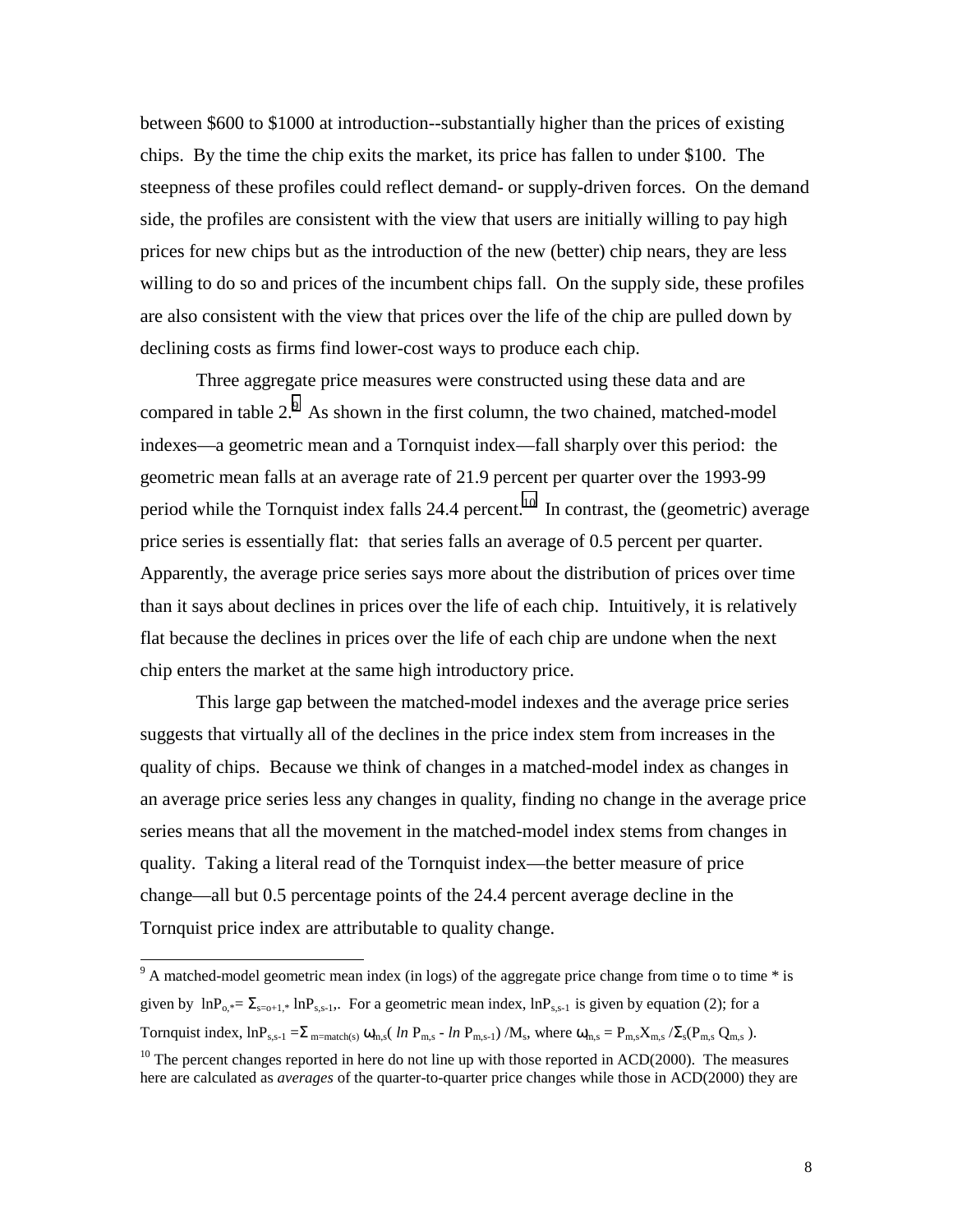between \$600 to \$1000 at introduction--substantially higher than the prices of existing chips. By the time the chip exits the market, its price has fallen to under \$100. The steepness of these profiles could reflect demand- or supply-driven forces. On the demand side, the profiles are consistent with the view that users are initially willing to pay high prices for new chips but as the introduction of the new (better) chip nears, they are less willing to do so and prices of the incumbent chips fall. On the supply side, these profiles are also consistent with the view that prices over the life of the chip are pulled down by declining costs as firms find lower-cost ways to produce each chip.

Three aggregate price measures were constructed using these data and are compared in table  $2<sup>9</sup>$ . As shown in the first column, the two chained, matched-model indexes—a geometric mean and a Tornquist index—fall sharply over this period: the geometric mean falls at an average rate of 21.9 percent per quarter over the 1993-99 period while the Tornquist index falls 24.4 percent.<sup>10</sup> In contrast, the (geometric) average price series is essentially flat: that series falls an average of 0.5 percent per quarter. Apparently, the average price series says more about the distribution of prices over time than it says about declines in prices over the life of each chip. Intuitively, it is relatively flat because the declines in prices over the life of each chip are undone when the next chip enters the market at the same high introductory price.

This large gap between the matched-model indexes and the average price series suggests that virtually all of the declines in the price index stem from increases in the quality of chips. Because we think of changes in a matched-model index as changes in an average price series less any changes in quality, finding no change in the average price series means that all the movement in the matched-model index stems from changes in quality. Taking a literal read of the Tornquist index—the better measure of price change—all but 0.5 percentage points of the 24.4 percent average decline in the Tornquist price index are attributable to quality change.

 $\overline{a}$ 

 $9<sup>9</sup>$  A matched-model geometric mean index (in logs) of the aggregate price change from time o to time  $*$  is given by  $lnP_{0,*} = \sum_{s=0+1,*} lnP_{s,s-1}$ . For a geometric mean index,  $lnP_{s,s-1}$  is given by equation (2); for a Tornquist index,  $\ln P_{s,s-1} = \sum_{m=\text{match}(s)} \omega_{m,s} (ln P_{m,s} - ln P_{m,s-1}) / M_s$ , where  $\omega_{m,s} = P_{m,s} X_{m,s} / \Sigma_s (P_{m,s} Q_{m,s})$ .

 $10$  The percent changes reported in here do not line up with those reported in ACD(2000). The measures here are calculated as *averages* of the quarter-to-quarter price changes while those in ACD(2000) they are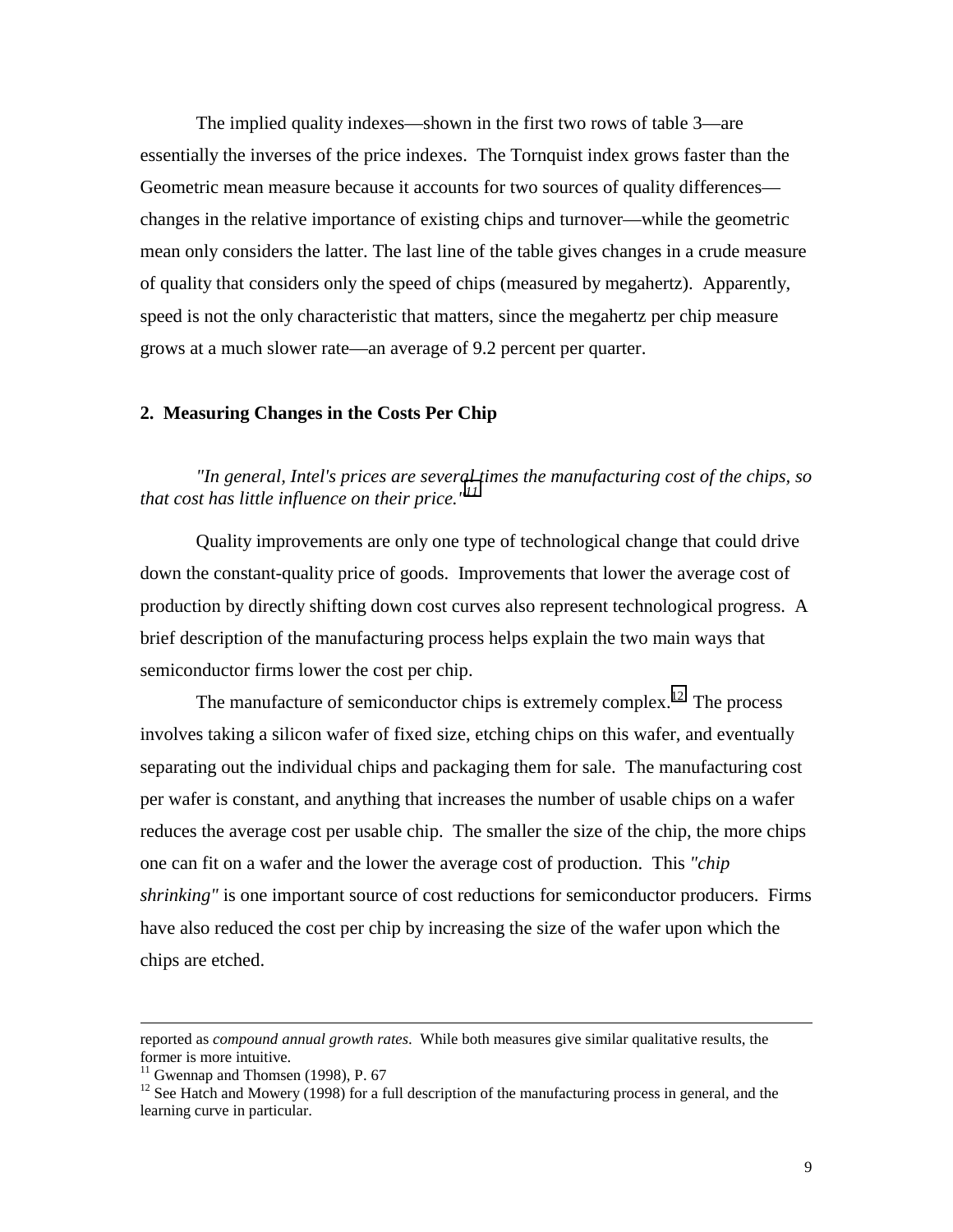The implied quality indexes—shown in the first two rows of table 3—are essentially the inverses of the price indexes. The Tornquist index grows faster than the Geometric mean measure because it accounts for two sources of quality differences changes in the relative importance of existing chips and turnover—while the geometric mean only considers the latter. The last line of the table gives changes in a crude measure of quality that considers only the speed of chips (measured by megahertz). Apparently, speed is not the only characteristic that matters, since the megahertz per chip measure grows at a much slower rate—an average of 9.2 percent per quarter.

#### **2. Measuring Changes in the Costs Per Chip**

*"In general, Intel's prices are several times the manufacturing cost of the chips, so that cost has little influence on their price."<sup>11</sup>*

Quality improvements are only one type of technological change that could drive down the constant-quality price of goods. Improvements that lower the average cost of production by directly shifting down cost curves also represent technological progress. A brief description of the manufacturing process helps explain the two main ways that semiconductor firms lower the cost per chip.

The manufacture of semiconductor chips is extremely complex.<sup>12</sup> The process involves taking a silicon wafer of fixed size, etching chips on this wafer, and eventually separating out the individual chips and packaging them for sale. The manufacturing cost per wafer is constant, and anything that increases the number of usable chips on a wafer reduces the average cost per usable chip. The smaller the size of the chip, the more chips one can fit on a wafer and the lower the average cost of production. This *"chip shrinking"* is one important source of cost reductions for semiconductor producers. Firms have also reduced the cost per chip by increasing the size of the wafer upon which the chips are etched.

 $\overline{\phantom{a}}$ 

reported as *compound annual growth rates*. While both measures give similar qualitative results, the former is more intuitive.

 $11$  Gwennap and Thomsen (1998), P. 67

<sup>&</sup>lt;sup>12</sup> See Hatch and Mowery (1998) for a full description of the manufacturing process in general, and the learning curve in particular.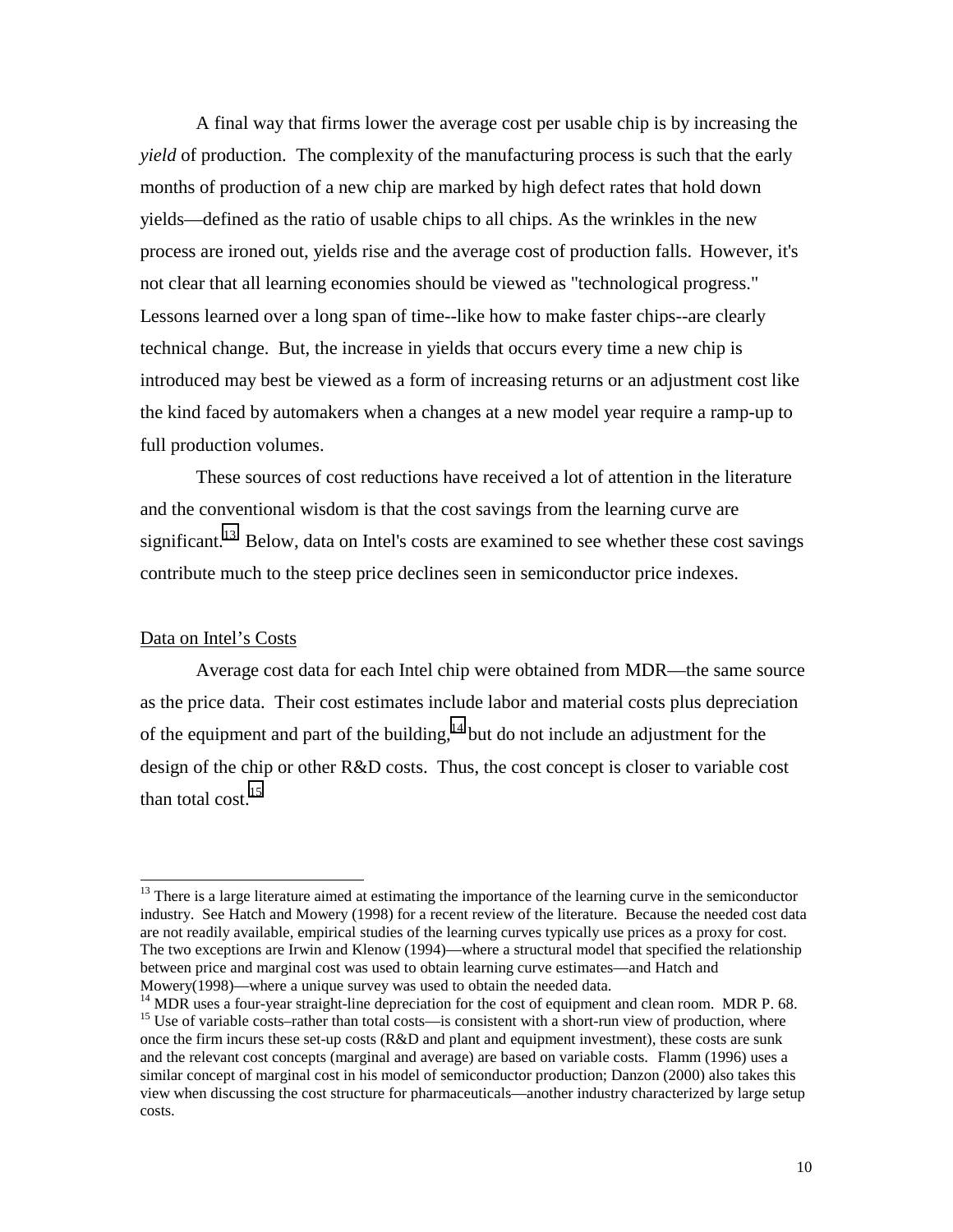A final way that firms lower the average cost per usable chip is by increasing the *yield* of production. The complexity of the manufacturing process is such that the early months of production of a new chip are marked by high defect rates that hold down yields—defined as the ratio of usable chips to all chips. As the wrinkles in the new process are ironed out, yields rise and the average cost of production falls. However, it's not clear that all learning economies should be viewed as "technological progress." Lessons learned over a long span of time--like how to make faster chips--are clearly technical change. But, the increase in yields that occurs every time a new chip is introduced may best be viewed as a form of increasing returns or an adjustment cost like the kind faced by automakers when a changes at a new model year require a ramp-up to full production volumes.

These sources of cost reductions have received a lot of attention in the literature and the conventional wisdom is that the cost savings from the learning curve are significant.<sup>13</sup> Below, data on Intel's costs are examined to see whether these cost savings contribute much to the steep price declines seen in semiconductor price indexes.

#### Data on Intel's Costs

 $\overline{a}$ 

Average cost data for each Intel chip were obtained from MDR—the same source as the price data. Their cost estimates include labor and material costs plus depreciation of the equipment and part of the building, $14$  but do not include an adjustment for the design of the chip or other R&D costs. Thus, the cost concept is closer to variable cost than total cost. $15$ 

<sup>&</sup>lt;sup>13</sup> There is a large literature aimed at estimating the importance of the learning curve in the semiconductor industry. See Hatch and Mowery (1998) for a recent review of the literature. Because the needed cost data are not readily available, empirical studies of the learning curves typically use prices as a proxy for cost. The two exceptions are Irwin and Klenow (1994)—where a structural model that specified the relationship between price and marginal cost was used to obtain learning curve estimates—and Hatch and Mowery(1998)—where a unique survey was used to obtain the needed data.

 $14$  MDR uses a four-year straight-line depreciation for the cost of equipment and clean room. MDR P. 68. <sup>15</sup> Use of variable costs–rather than total costs—is consistent with a short-run view of production, where once the firm incurs these set-up costs (R&D and plant and equipment investment), these costs are sunk and the relevant cost concepts (marginal and average) are based on variable costs. Flamm (1996) uses a similar concept of marginal cost in his model of semiconductor production; Danzon (2000) also takes this view when discussing the cost structure for pharmaceuticals—another industry characterized by large setup costs.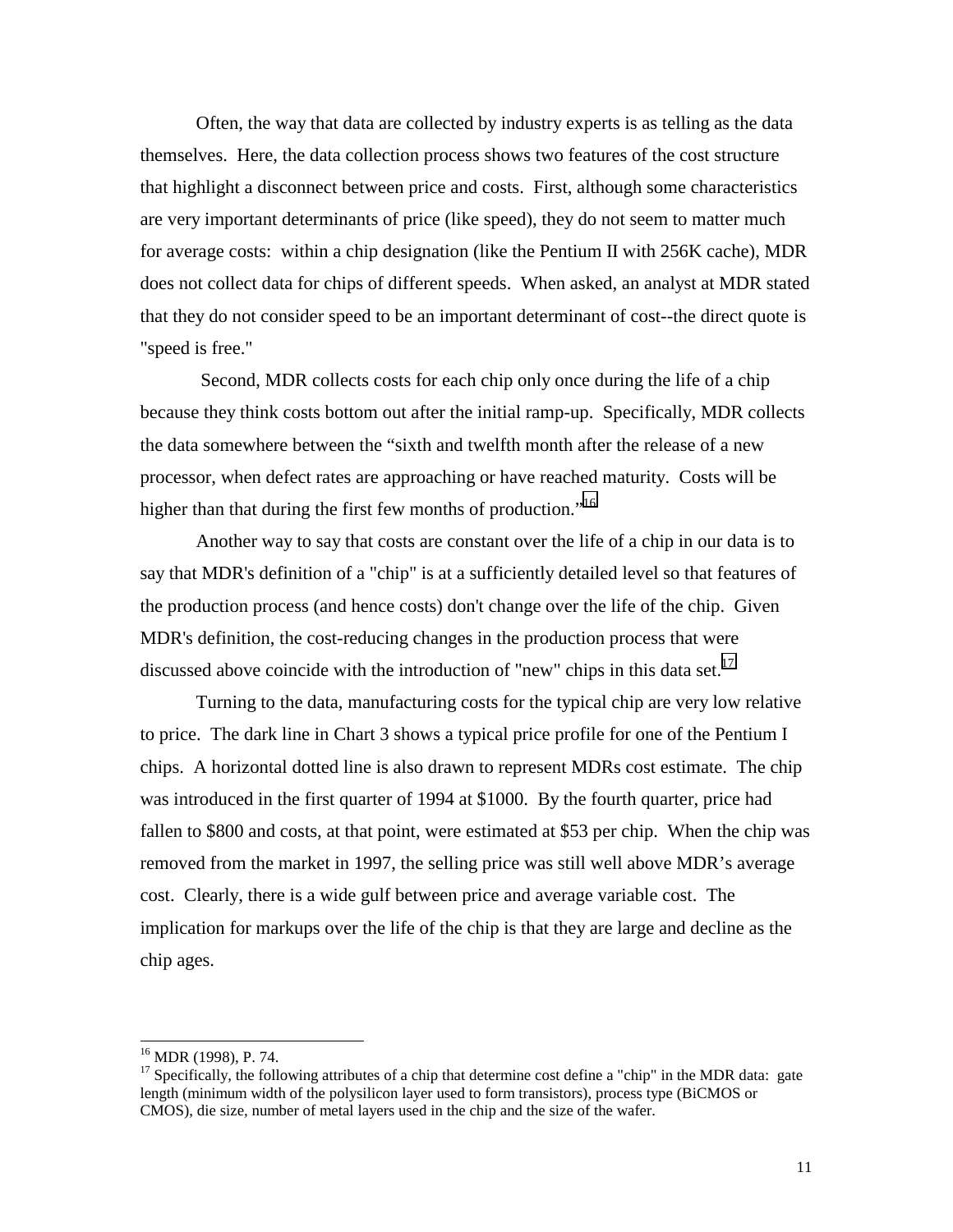Often, the way that data are collected by industry experts is as telling as the data themselves. Here, the data collection process shows two features of the cost structure that highlight a disconnect between price and costs. First, although some characteristics are very important determinants of price (like speed), they do not seem to matter much for average costs: within a chip designation (like the Pentium II with 256K cache), MDR does not collect data for chips of different speeds. When asked, an analyst at MDR stated that they do not consider speed to be an important determinant of cost--the direct quote is "speed is free."

 Second, MDR collects costs for each chip only once during the life of a chip because they think costs bottom out after the initial ramp-up. Specifically, MDR collects the data somewhere between the "sixth and twelfth month after the release of a new processor, when defect rates are approaching or have reached maturity. Costs will be higher than that during the first few months of production."<sup>16</sup>

Another way to say that costs are constant over the life of a chip in our data is to say that MDR's definition of a "chip" is at a sufficiently detailed level so that features of the production process (and hence costs) don't change over the life of the chip. Given MDR's definition, the cost-reducing changes in the production process that were discussed above coincide with the introduction of "new" chips in this data set.<sup>17</sup>

Turning to the data, manufacturing costs for the typical chip are very low relative to price. The dark line in Chart 3 shows a typical price profile for one of the Pentium I chips. A horizontal dotted line is also drawn to represent MDRs cost estimate. The chip was introduced in the first quarter of 1994 at \$1000. By the fourth quarter, price had fallen to \$800 and costs, at that point, were estimated at \$53 per chip. When the chip was removed from the market in 1997, the selling price was still well above MDR's average cost. Clearly, there is a wide gulf between price and average variable cost. The implication for markups over the life of the chip is that they are large and decline as the chip ages.

l

<sup>16</sup> MDR (1998), P. 74.

<sup>&</sup>lt;sup>17</sup> Specifically, the following attributes of a chip that determine cost define a "chip" in the MDR data: gate length (minimum width of the polysilicon layer used to form transistors), process type (BiCMOS or CMOS), die size, number of metal layers used in the chip and the size of the wafer.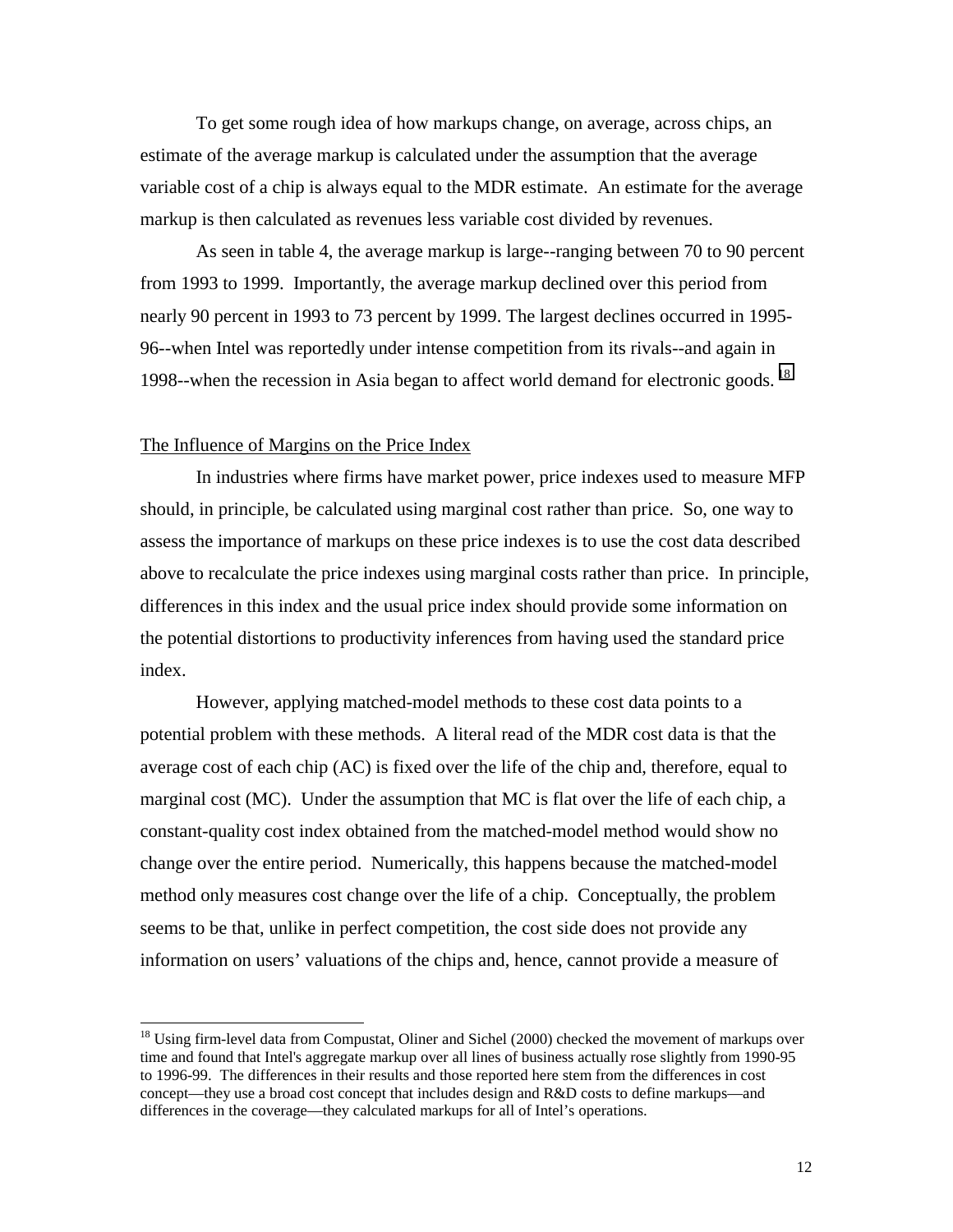To get some rough idea of how markups change, on average, across chips, an estimate of the average markup is calculated under the assumption that the average variable cost of a chip is always equal to the MDR estimate. An estimate for the average markup is then calculated as revenues less variable cost divided by revenues.

As seen in table 4, the average markup is large--ranging between 70 to 90 percent from 1993 to 1999. Importantly, the average markup declined over this period from nearly 90 percent in 1993 to 73 percent by 1999. The largest declines occurred in 1995- 96--when Intel was reportedly under intense competition from its rivals--and again in 1998--when the recession in Asia began to affect world demand for electronic goods. 18

## The Influence of Margins on the Price Index

 $\overline{\phantom{a}}$ 

 In industries where firms have market power, price indexes used to measure MFP should, in principle, be calculated using marginal cost rather than price. So, one way to assess the importance of markups on these price indexes is to use the cost data described above to recalculate the price indexes using marginal costs rather than price. In principle, differences in this index and the usual price index should provide some information on the potential distortions to productivity inferences from having used the standard price index.

However, applying matched-model methods to these cost data points to a potential problem with these methods. A literal read of the MDR cost data is that the average cost of each chip (AC) is fixed over the life of the chip and, therefore, equal to marginal cost (MC). Under the assumption that MC is flat over the life of each chip, a constant-quality cost index obtained from the matched-model method would show no change over the entire period. Numerically, this happens because the matched-model method only measures cost change over the life of a chip. Conceptually, the problem seems to be that, unlike in perfect competition, the cost side does not provide any information on users' valuations of the chips and, hence, cannot provide a measure of

 $18$  Using firm-level data from Compustat, Oliner and Sichel (2000) checked the movement of markups over time and found that Intel's aggregate markup over all lines of business actually rose slightly from 1990-95 to 1996-99. The differences in their results and those reported here stem from the differences in cost concept—they use a broad cost concept that includes design and R&D costs to define markups—and differences in the coverage—they calculated markups for all of Intel's operations.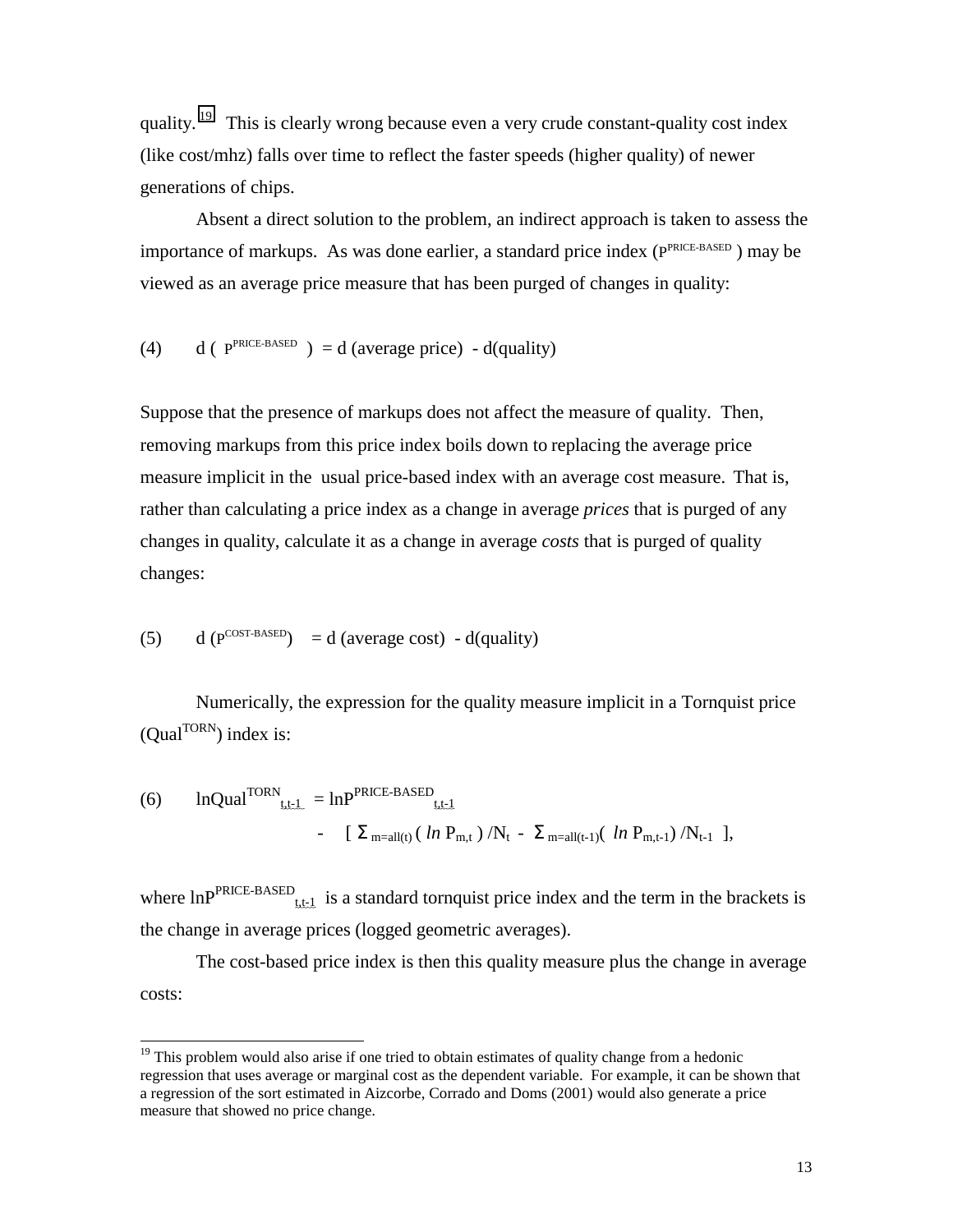quality. <sup>19</sup> This is clearly wrong because even a very crude constant-quality cost index (like cost/mhz) falls over time to reflect the faster speeds (higher quality) of newer generations of chips.

 Absent a direct solution to the problem, an indirect approach is taken to assess the importance of markups. As was done earlier, a standard price index (PPRICE-BASED ) may be viewed as an average price measure that has been purged of changes in quality:

(4) d (  $P^{PRICE-BASED}$  ) = d (average price) - d(quality)

Suppose that the presence of markups does not affect the measure of quality. Then, removing markups from this price index boils down to replacing the average price measure implicit in the usual price-based index with an average cost measure. That is, rather than calculating a price index as a change in average *prices* that is purged of any changes in quality, calculate it as a change in average *costs* that is purged of quality changes:

(5) 
$$
d(P^{COST-BASED}) = d
$$
 (average cost) - d(quality)

l

Numerically, the expression for the quality measure implicit in a Tornquist price  $(Qual<sup>TORN</sup>)$  index is:

(6) Inqual<sup>TORN</sup><sub>tt=1</sub> = 
$$
\text{ln}P^{PRICE-BASED}
$$
  
– [  $\Sigma_{m=all(t)}$  (*ln P<sub>m,t</sub>*) /N<sub>t</sub> -  $\Sigma_{m=all(t-1)}$  (*ln P<sub>m,t-1</sub>*) /N<sub>t-1</sub> ],

where  $\text{lnP}^{\text{PRICE-BASED}}$  is a standard tornquist price index and the term in the brackets is the change in average prices (logged geometric averages).

 The cost-based price index is then this quality measure plus the change in average costs:

 $19$  This problem would also arise if one tried to obtain estimates of quality change from a hedonic regression that uses average or marginal cost as the dependent variable. For example, it can be shown that a regression of the sort estimated in Aizcorbe, Corrado and Doms (2001) would also generate a price measure that showed no price change.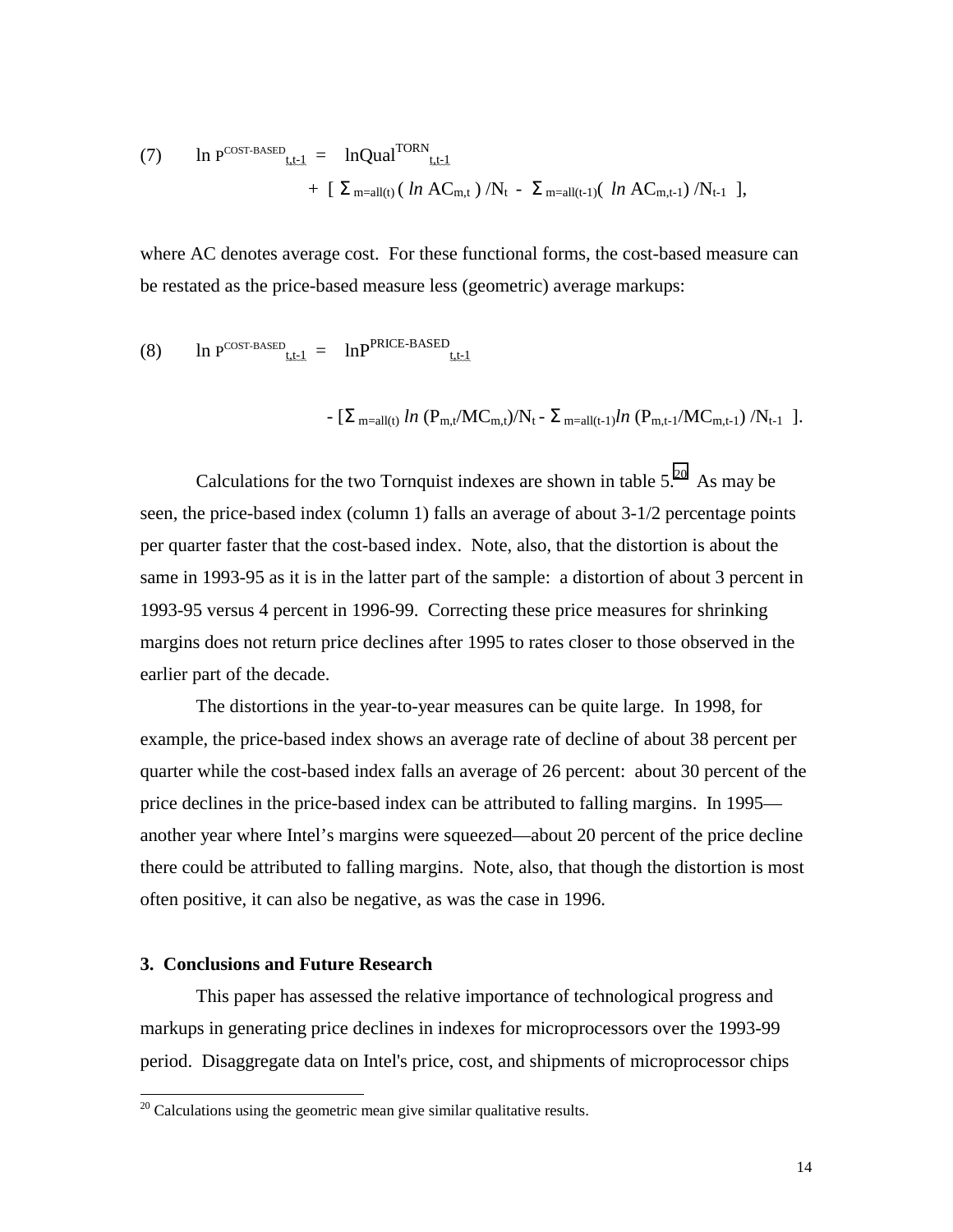(7) In P<sup>COST-BASED</sup><sub>tt-1</sub> = lnQual<sup>TORN</sup><sub>tt-1</sub>  
+ 
$$
\left[ \sum_{m=all(t)} (ln AC_{m,t}) / N_t - \sum_{m=all(t-1)} (ln AC_{m,t-1}) / N_{t-1} \right],
$$

where AC denotes average cost. For these functional forms, the cost-based measure can be restated as the price-based measure less (geometric) average markups:

(8) In P<sup>COST-BASED</sup><sub>tt=1</sub> = 
$$
\ln P^{PRICE-BASED}
$$
  
-  $[\Sigma_{m=all(t)} ln (P_{m,t}/MC_{m,t})/N_t - \Sigma_{m=all(t-1)}ln (P_{m,t-1}/MC_{m,t-1})/N_{t-1}].$ 

Calculations for the two Tornquist indexes are shown in table 
$$
5.^{20}
$$
. As may be seen, the price-based index (column 1) falls an average of about 3-1/2 percentage points per quarter faster that the cost-based index. Note, also, that the distortion is about the same in 1993-95 as it is in the latter part of the sample: a distortion of about 3 percent in 1993-95 versus 4 percent in 1996-99. Correcting these price measures for shrinking margins does not return price declines after 1995 to rates closer to those observed in the earlier part of the decade.

The distortions in the year-to-year measures can be quite large. In 1998, for example, the price-based index shows an average rate of decline of about 38 percent per quarter while the cost-based index falls an average of 26 percent: about 30 percent of the price declines in the price-based index can be attributed to falling margins. In 1995 another year where Intel's margins were squeezed—about 20 percent of the price decline there could be attributed to falling margins. Note, also, that though the distortion is most often positive, it can also be negative, as was the case in 1996.

#### **3. Conclusions and Future Research**

 $\overline{a}$ 

This paper has assessed the relative importance of technological progress and markups in generating price declines in indexes for microprocessors over the 1993-99 period. Disaggregate data on Intel's price, cost, and shipments of microprocessor chips

 $20$  Calculations using the geometric mean give similar qualitative results.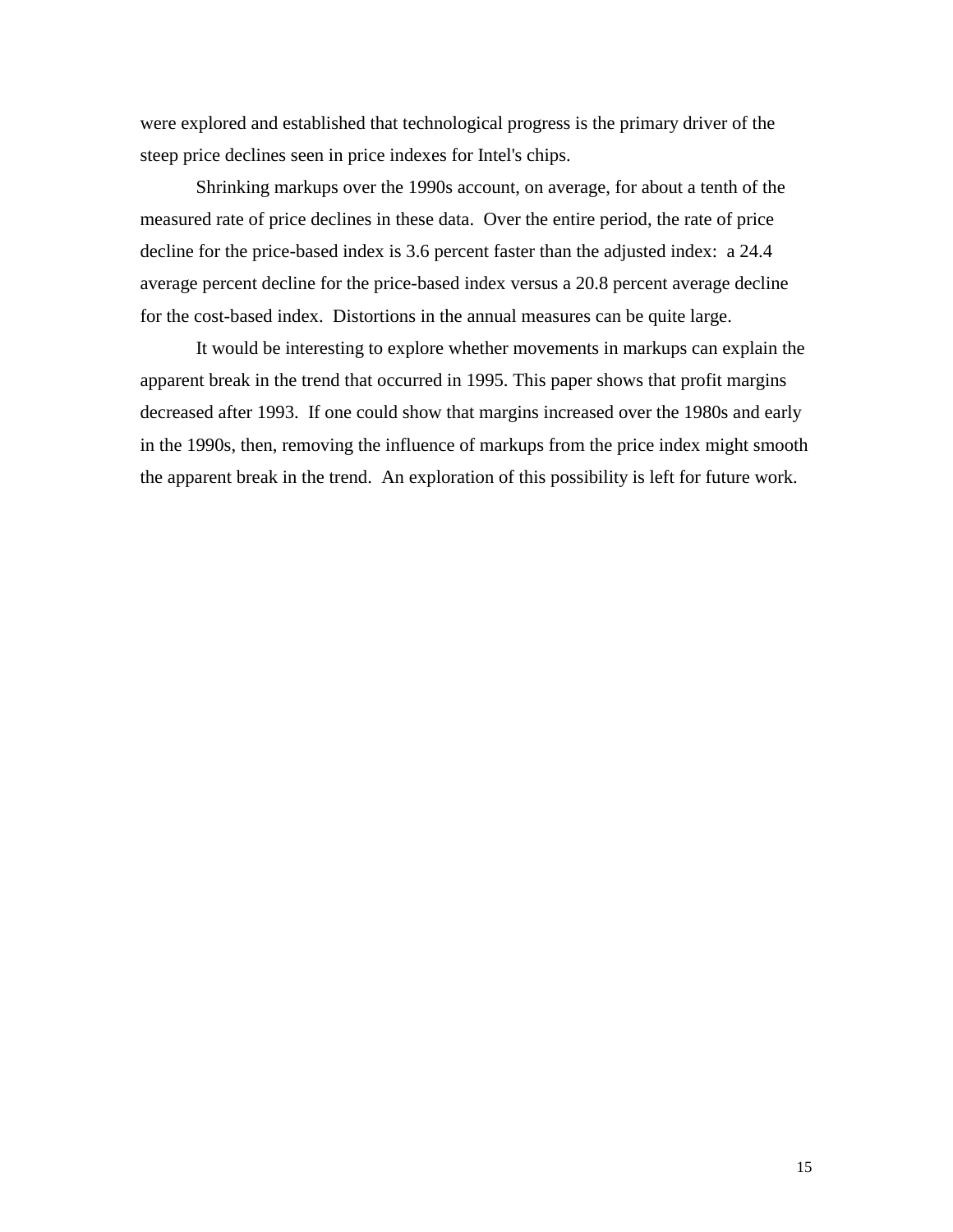were explored and established that technological progress is the primary driver of the steep price declines seen in price indexes for Intel's chips.

Shrinking markups over the 1990s account, on average, for about a tenth of the measured rate of price declines in these data. Over the entire period, the rate of price decline for the price-based index is 3.6 percent faster than the adjusted index: a 24.4 average percent decline for the price-based index versus a 20.8 percent average decline for the cost-based index. Distortions in the annual measures can be quite large.

It would be interesting to explore whether movements in markups can explain the apparent break in the trend that occurred in 1995. This paper shows that profit margins decreased after 1993. If one could show that margins increased over the 1980s and early in the 1990s, then, removing the influence of markups from the price index might smooth the apparent break in the trend. An exploration of this possibility is left for future work.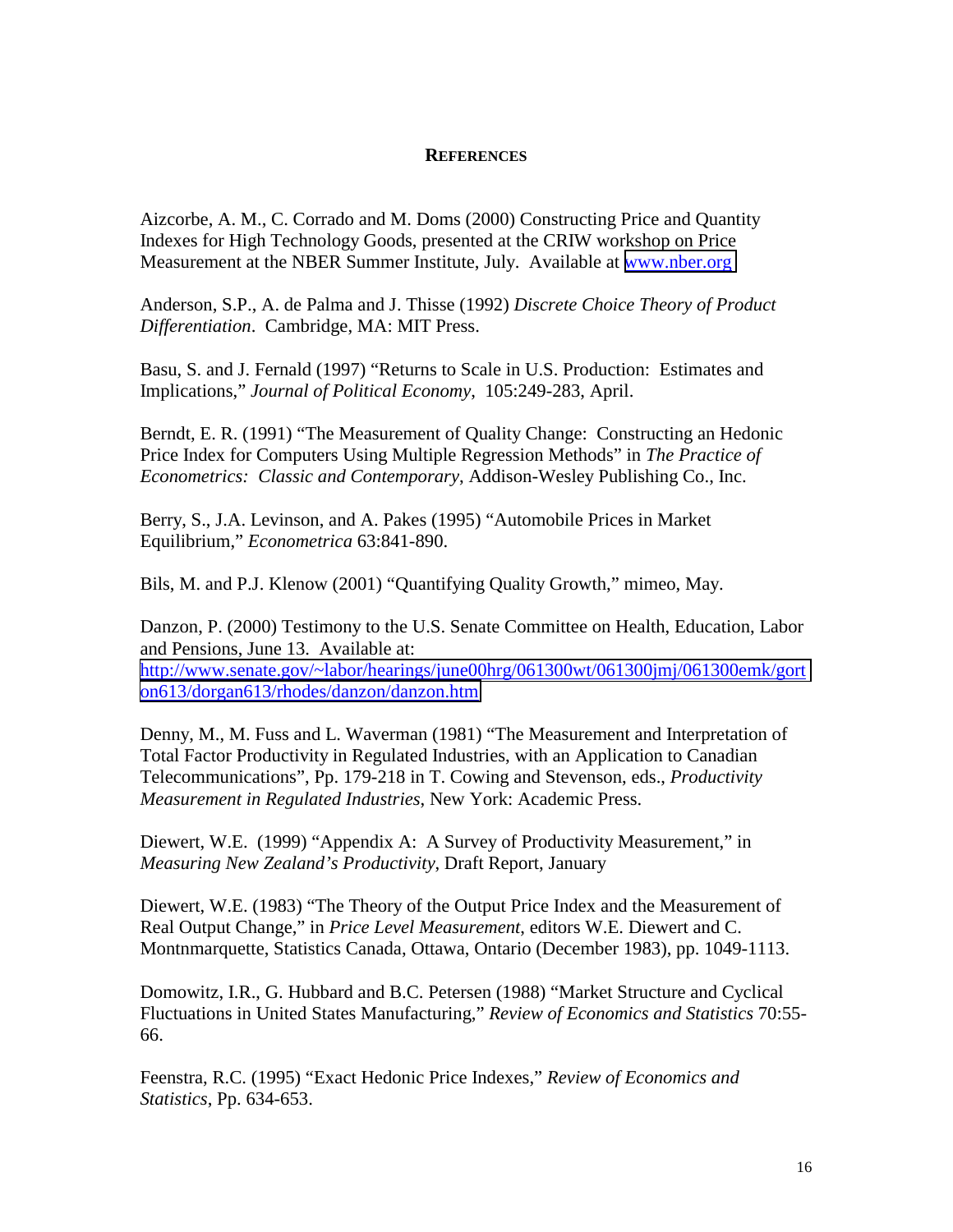### **REFERENCES**

Aizcorbe, A. M., C. Corrado and M. Doms (2000) Constructing Price and Quantity Indexes for High Technology Goods, presented at the CRIW workshop on Price Measurement at the NBER Summer Institute, July. Available at [www.nber.org](http://www.nber.org/) 

Anderson, S.P., A. de Palma and J. Thisse (1992) *Discrete Choice Theory of Product Differentiation*. Cambridge, MA: MIT Press.

Basu, S. and J. Fernald (1997) "Returns to Scale in U.S. Production: Estimates and Implications," *Journal of Political Economy*, 105:249-283, April.

Berndt, E. R. (1991) "The Measurement of Quality Change: Constructing an Hedonic Price Index for Computers Using Multiple Regression Methods" in *The Practice of Econometrics: Classic and Contemporary*, Addison-Wesley Publishing Co., Inc.

Berry, S., J.A. Levinson, and A. Pakes (1995) "Automobile Prices in Market Equilibrium," *Econometrica* 63:841-890.

Bils, M. and P.J. Klenow (2001) "Quantifying Quality Growth," mimeo, May.

Danzon, P. (2000) Testimony to the U.S. Senate Committee on Health, Education, Labor and Pensions, June 13. Available at:

[http://www.senate.gov/~labor/hearings/june00hrg/061300wt/061300jmj/061300emk/gort](http://www.senate.gov/~labor/hearings/june00hrg/061300wt/061300jmj/061300emk/gorton613/dorgan613/rhodes/danzon/danzon.htm) [on613/dorgan613/rhodes/danzon/danzon.htm](http://www.senate.gov/~labor/hearings/june00hrg/061300wt/061300jmj/061300emk/gorton613/dorgan613/rhodes/danzon/danzon.htm)

Denny, M., M. Fuss and L. Waverman (1981) "The Measurement and Interpretation of Total Factor Productivity in Regulated Industries, with an Application to Canadian Telecommunications", Pp. 179-218 in T. Cowing and Stevenson, eds., *Productivity Measurement in Regulated Industries*, New York: Academic Press.

Diewert, W.E. (1999) "Appendix A: A Survey of Productivity Measurement," in *Measuring New Zealand's Productivity*, Draft Report, January

Diewert, W.E. (1983) "The Theory of the Output Price Index and the Measurement of Real Output Change," in *Price Level Measurement*, editors W.E. Diewert and C. Montnmarquette, Statistics Canada, Ottawa, Ontario (December 1983), pp. 1049-1113.

Domowitz, I.R., G. Hubbard and B.C. Petersen (1988) "Market Structure and Cyclical Fluctuations in United States Manufacturing," *Review of Economics and Statistics* 70:55- 66.

Feenstra, R.C. (1995) "Exact Hedonic Price Indexes," *Review of Economics and Statistics*, Pp. 634-653.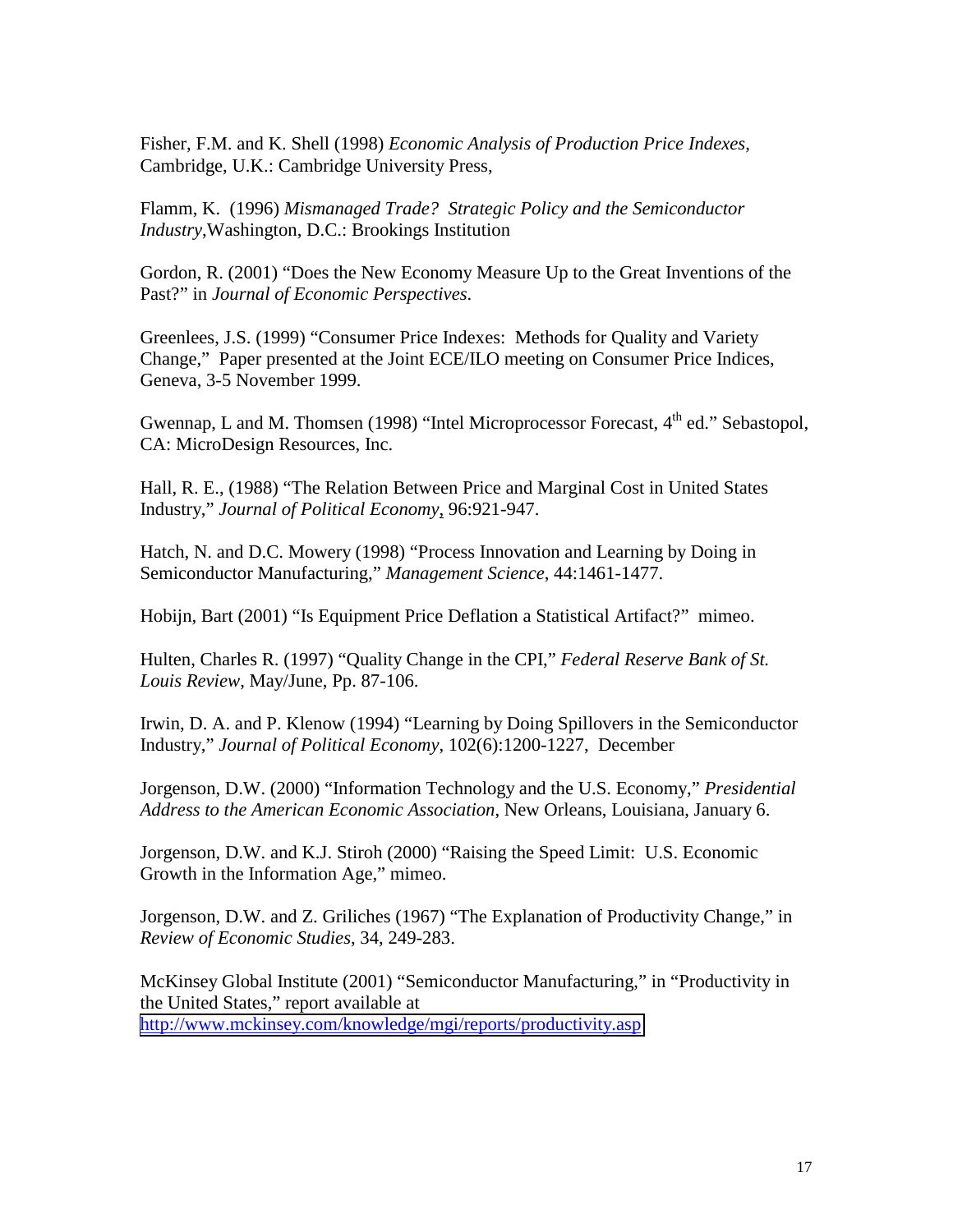Fisher, F.M. and K. Shell (1998) *Economic Analysis of Production Price Indexes*, Cambridge, U.K.: Cambridge University Press,

Flamm, K. (1996) *Mismanaged Trade? Strategic Policy and the Semiconductor Industry*,Washington, D.C.: Brookings Institution

Gordon, R. (2001) "Does the New Economy Measure Up to the Great Inventions of the Past?" in *Journal of Economic Perspectives*.

Greenlees, J.S. (1999) "Consumer Price Indexes: Methods for Quality and Variety Change," Paper presented at the Joint ECE/ILO meeting on Consumer Price Indices, Geneva, 3-5 November 1999.

Gwennap, L and M. Thomsen (1998) "Intel Microprocessor Forecast,  $4<sup>th</sup>$  ed." Sebastopol, CA: MicroDesign Resources, Inc.

Hall, R. E., (1988) "The Relation Between Price and Marginal Cost in United States Industry," *Journal of Political Economy*, 96:921-947.

Hatch, N. and D.C. Mowery (1998) "Process Innovation and Learning by Doing in Semiconductor Manufacturing," *Management Science*, 44:1461-1477.

Hobijn, Bart (2001) "Is Equipment Price Deflation a Statistical Artifact?" mimeo.

Hulten, Charles R. (1997) "Quality Change in the CPI," *Federal Reserve Bank of St. Louis Review*, May/June, Pp. 87-106.

Irwin, D. A. and P. Klenow (1994) "Learning by Doing Spillovers in the Semiconductor Industry," *Journal of Political Economy*, 102(6):1200-1227, December

Jorgenson, D.W. (2000) "Information Technology and the U.S. Economy," *Presidential Address to the American Economic Association*, New Orleans, Louisiana, January 6.

Jorgenson, D.W. and K.J. Stiroh (2000) "Raising the Speed Limit: U.S. Economic Growth in the Information Age," mimeo.

Jorgenson, D.W. and Z. Griliches (1967) "The Explanation of Productivity Change," in *Review of Economic Studies*, 34, 249-283.

McKinsey Global Institute (2001) "Semiconductor Manufacturing," in "Productivity in the United States," report available at <http://www.mckinsey.com/knowledge/mgi/reports/productivity.asp>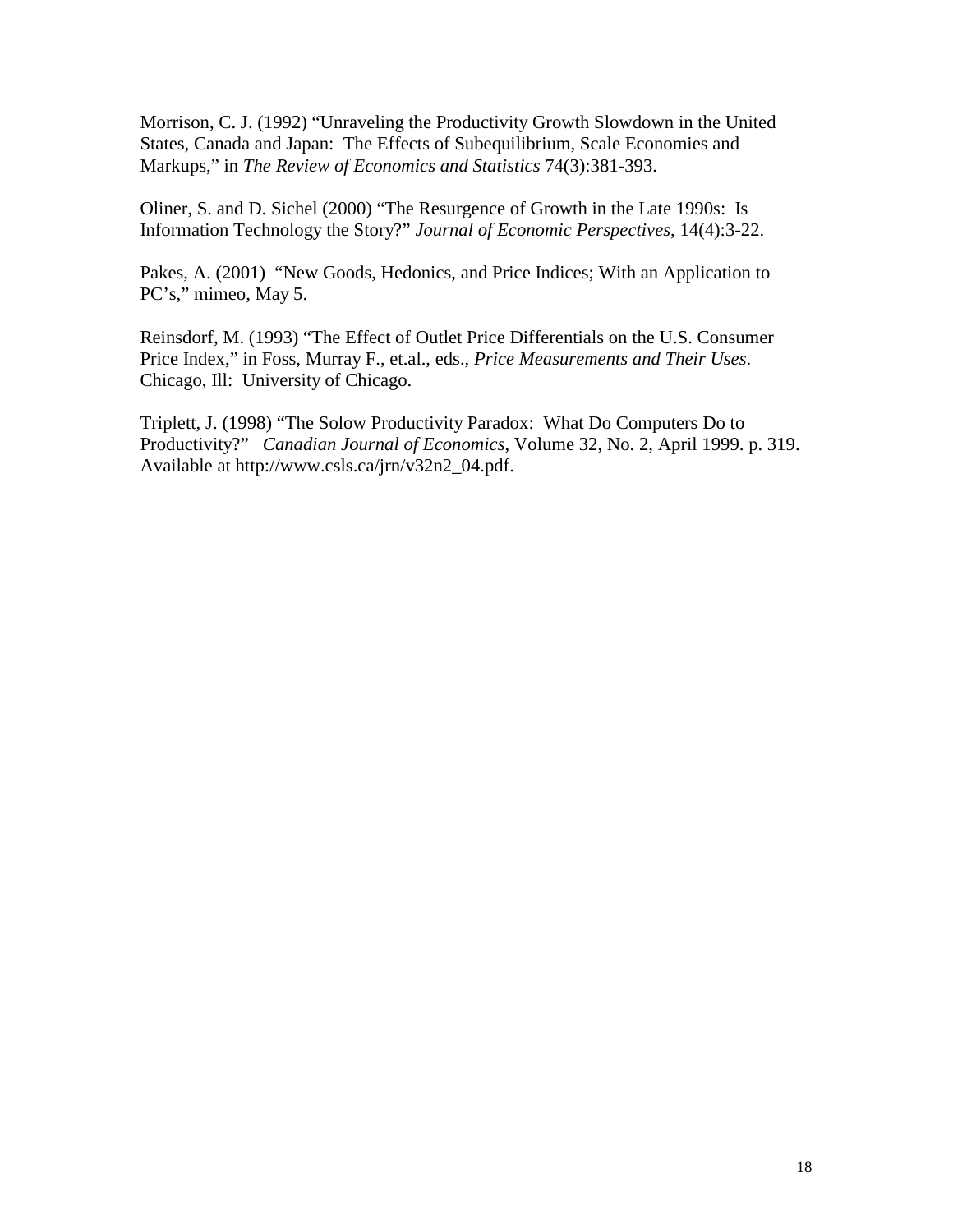Morrison, C. J. (1992) "Unraveling the Productivity Growth Slowdown in the United States, Canada and Japan: The Effects of Subequilibrium, Scale Economies and Markups," in *The Review of Economics and Statistics* 74(3):381-393.

Oliner, S. and D. Sichel (2000) "The Resurgence of Growth in the Late 1990s: Is Information Technology the Story?" *Journal of Economic Perspectives*, 14(4):3-22.

Pakes, A. (2001) "New Goods, Hedonics, and Price Indices; With an Application to PC's," mimeo, May 5.

Reinsdorf, M. (1993) "The Effect of Outlet Price Differentials on the U.S. Consumer Price Index," in Foss, Murray F., et.al., eds., *Price Measurements and Their Uses*. Chicago, Ill: University of Chicago.

Triplett, J. (1998) "The Solow Productivity Paradox: What Do Computers Do to Productivity?" *Canadian Journal of Economics*, Volume 32, No. 2, April 1999. p. 319. Available at http://www.csls.ca/jrn/v32n2\_04.pdf.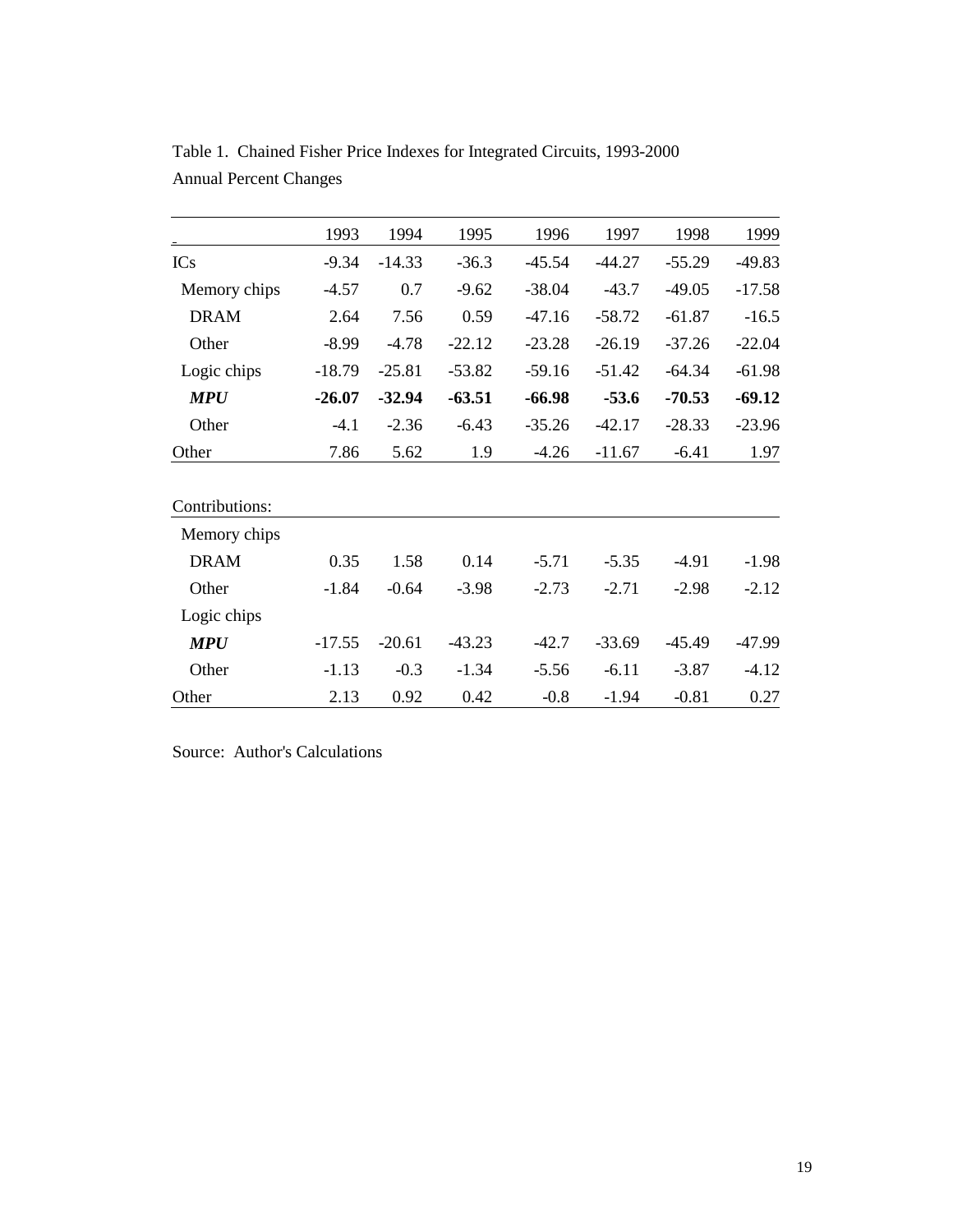|                | 1993     | 1994     | 1995     | 1996     | 1997     | 1998     | 1999     |
|----------------|----------|----------|----------|----------|----------|----------|----------|
| <b>ICs</b>     | $-9.34$  | $-14.33$ | $-36.3$  | $-45.54$ | -44.27   | $-55.29$ | $-49.83$ |
| Memory chips   | $-4.57$  | 0.7      | $-9.62$  | $-38.04$ | $-43.7$  | $-49.05$ | $-17.58$ |
| <b>DRAM</b>    | 2.64     | 7.56     | 0.59     | $-47.16$ | $-58.72$ | $-61.87$ | $-16.5$  |
| Other          | $-8.99$  | $-4.78$  | $-22.12$ | $-23.28$ | $-26.19$ | $-37.26$ | $-22.04$ |
| Logic chips    | $-18.79$ | $-25.81$ | $-53.82$ | $-59.16$ | $-51.42$ | $-64.34$ | $-61.98$ |
| <b>MPU</b>     | $-26.07$ | $-32.94$ | $-63.51$ | $-66.98$ | $-53.6$  | $-70.53$ | $-69.12$ |
| Other          | $-4.1$   | $-2.36$  | $-6.43$  | $-35.26$ | $-42.17$ | $-28.33$ | $-23.96$ |
| Other          | 7.86     | 5.62     | 1.9      | $-4.26$  | $-11.67$ | $-6.41$  | 1.97     |
|                |          |          |          |          |          |          |          |
| Contributions: |          |          |          |          |          |          |          |
| Memory chips   |          |          |          |          |          |          |          |
| <b>DRAM</b>    | 0.35     | 1.58     | 0.14     | $-5.71$  | $-5.35$  | $-4.91$  | $-1.98$  |
| Other          | $-1.84$  | $-0.64$  | $-3.98$  | $-2.73$  | $-2.71$  | $-2.98$  | $-2.12$  |
| Logic chips    |          |          |          |          |          |          |          |
| <b>MPU</b>     | $-17.55$ | $-20.61$ | $-43.23$ | $-42.7$  | $-33.69$ | $-45.49$ | $-47.99$ |
| Other          | $-1.13$  | $-0.3$   | $-1.34$  | $-5.56$  | $-6.11$  | $-3.87$  | $-4.12$  |
| Other          | 2.13     | 0.92     | 0.42     | $-0.8$   | $-1.94$  | $-0.81$  | 0.27     |

Table 1. Chained Fisher Price Indexes for Integrated Circuits, 1993-2000 Annual Percent Changes

Source: Author's Calculations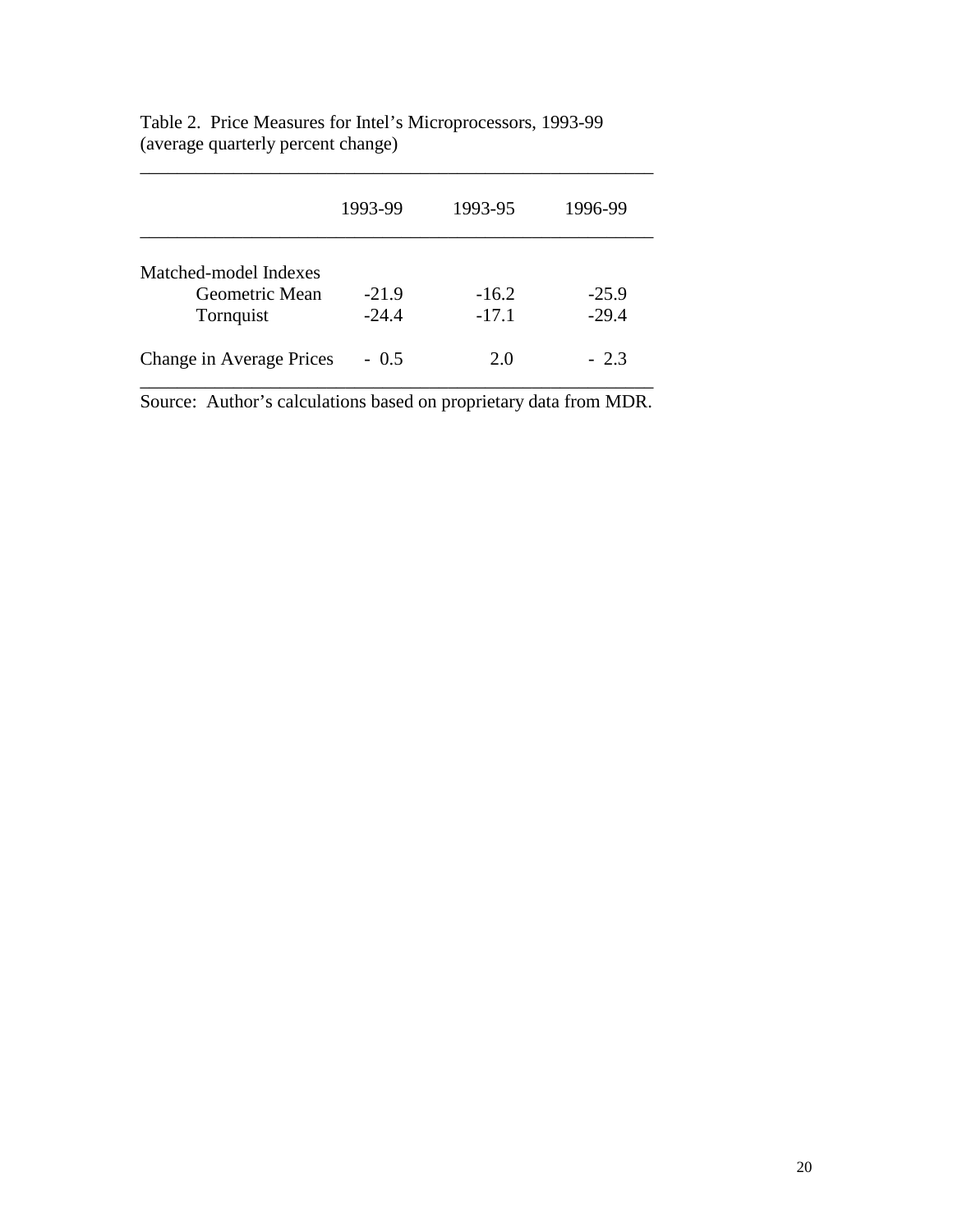|                                         | 1993-99 | 1993-95 | 1996-99 |
|-----------------------------------------|---------|---------|---------|
| Matched-model Indexes<br>Geometric Mean | $-21.9$ | $-16.2$ | $-25.9$ |
| Tornquist                               | $-24.4$ | $-17.1$ | $-29.4$ |
| Change in Average Prices                | $-0.5$  | 2.0     | $-2.3$  |

\_\_\_\_\_\_\_\_\_\_\_\_\_\_\_\_\_\_\_\_\_\_\_\_\_\_\_\_\_\_\_\_\_\_\_\_\_\_\_\_\_\_\_\_\_\_\_\_\_\_\_\_\_\_\_

Table 2. Price Measures for Intel's Microprocessors, 1993-99 (average quarterly percent change)

Source: Author's calculations based on proprietary data from MDR.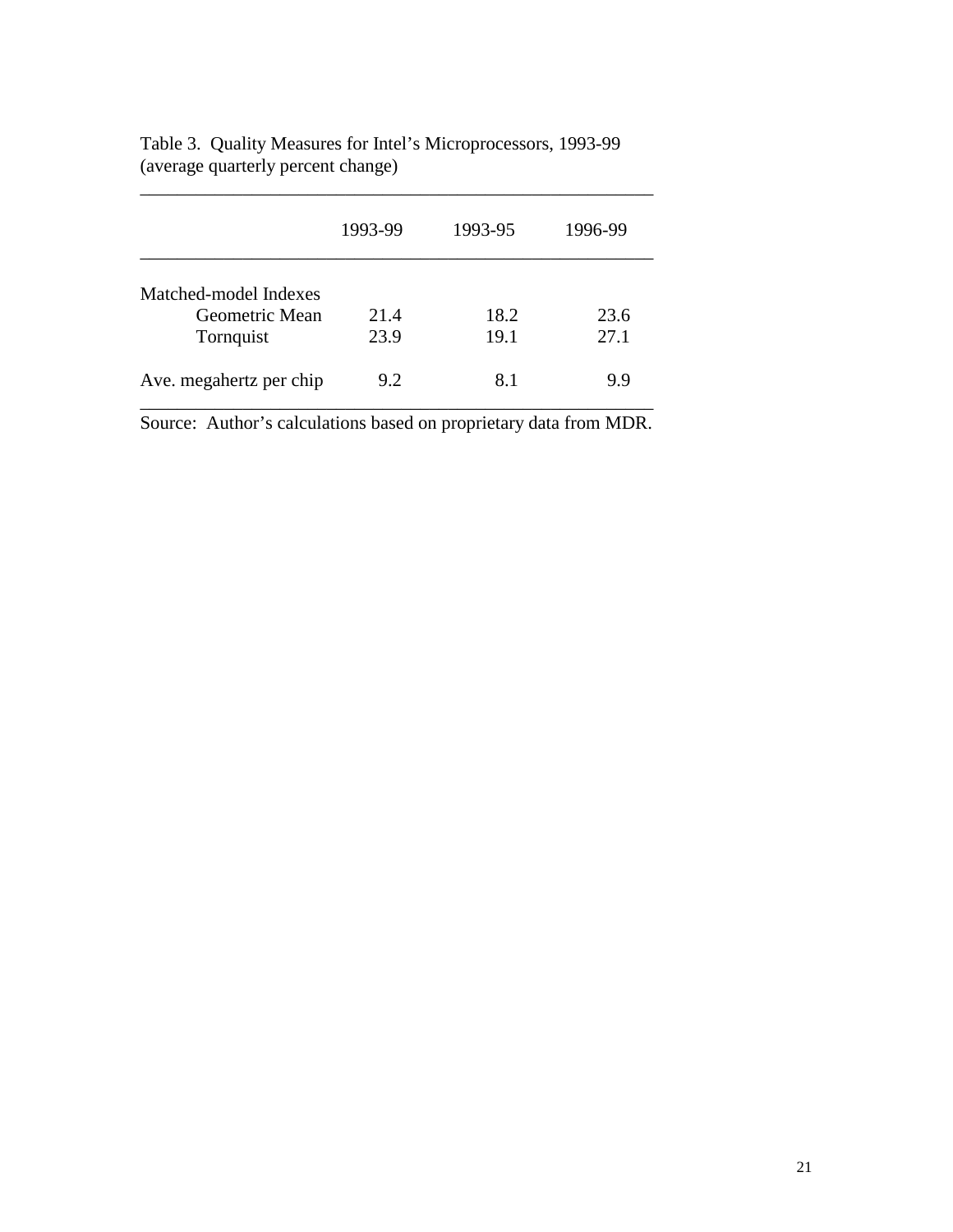|                                                      | 1993-99      | 1993-95      | 1996-99      |
|------------------------------------------------------|--------------|--------------|--------------|
| Matched-model Indexes<br>Geometric Mean<br>Tornquist | 21.4<br>23.9 | 18.2<br>19.1 | 23.6<br>27.1 |
| Ave. megahertz per chip                              | 9.2          | 8.1          | 9.9          |

Table 3. Quality Measures for Intel's Microprocessors, 1993-99 (average quarterly percent change)  $\mathcal{L}_\mathrm{max}$  and  $\mathcal{L}_\mathrm{max}$ 

Source: Author's calculations based on proprietary data from MDR.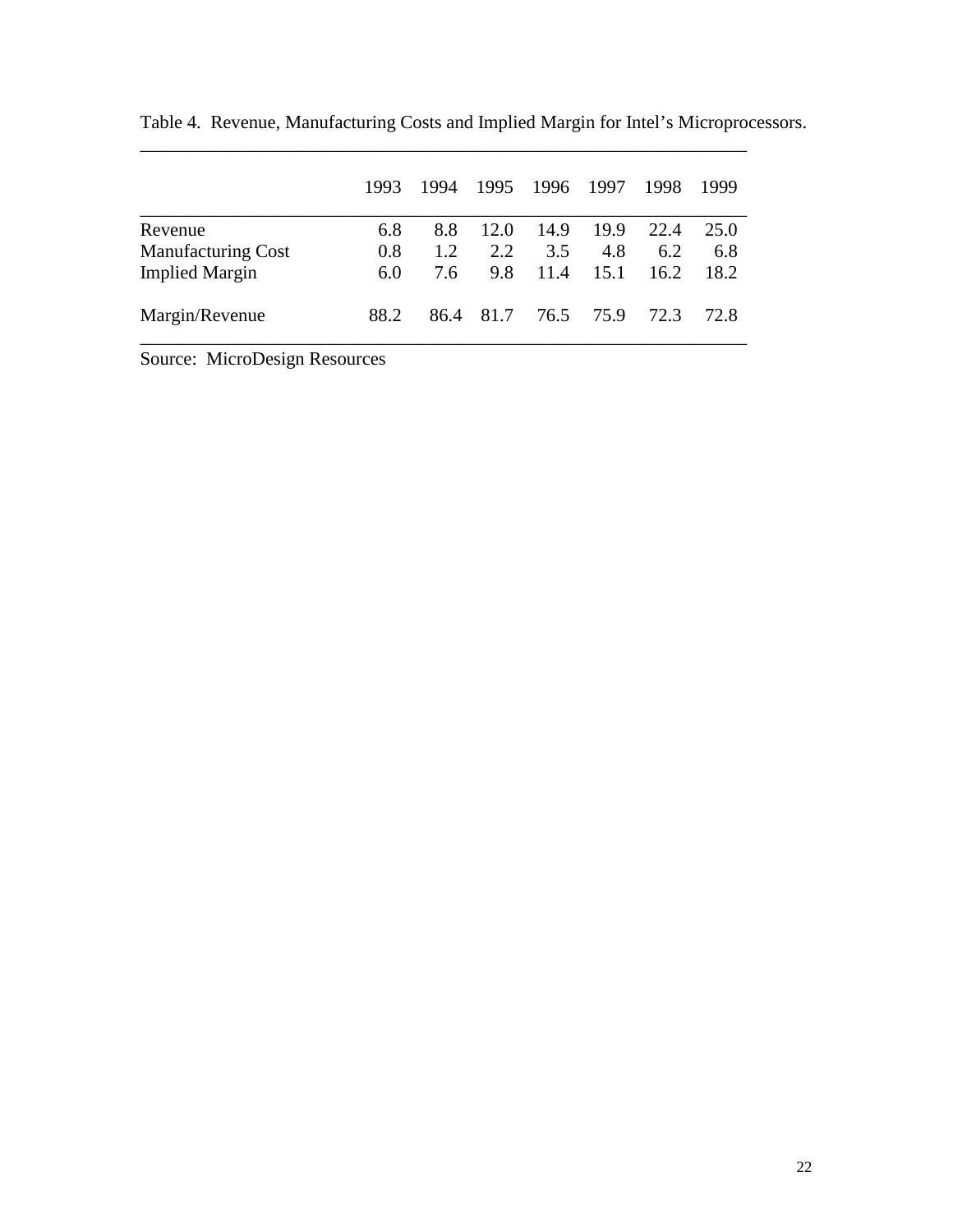|                           | 1993 | 1994 |           | 1995 1996 1997 |        | 1998 | 1999  |
|---------------------------|------|------|-----------|----------------|--------|------|-------|
| Revenue                   | 6.8  | 8.8  | 12.0      | 14.9           | - 19.9 | 22.4 | 25.0  |
| <b>Manufacturing Cost</b> | 0.8  | 1.2  | 2.2       | 3.5            | 4.8    | 6.2  | 6.8   |
| <b>Implied Margin</b>     | 6.0  | 7.6  | 9.8       | 11.4           | 15.1   | 16.2 | 18.2  |
| Margin/Revenue            | 88.2 |      | 86.4 81.7 | 76.5 75.9      |        | 72.3 | 72. R |

\_\_\_\_\_\_\_\_\_\_\_\_\_\_\_\_\_\_\_\_\_\_\_\_\_\_\_\_\_\_\_\_\_\_\_\_\_\_\_\_\_\_\_\_\_\_\_\_\_\_\_\_\_\_\_\_\_\_\_\_\_\_\_\_\_

Table 4. Revenue, Manufacturing Costs and Implied Margin for Intel's Microprocessors.

Source: MicroDesign Resources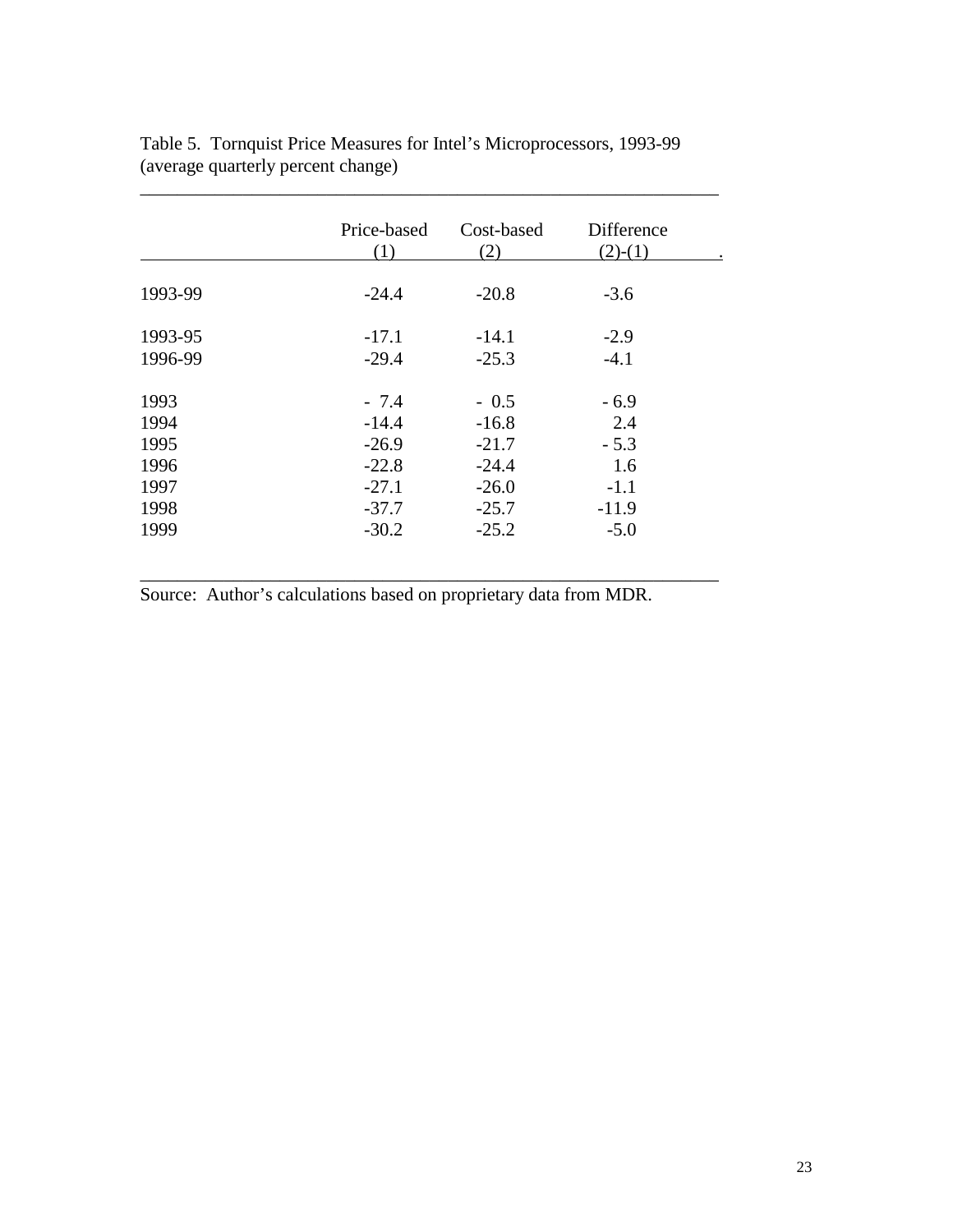|         | Price-based<br>(1) | Cost-based<br>(2) | Difference<br>$(2)-(1)$ |
|---------|--------------------|-------------------|-------------------------|
|         |                    |                   |                         |
| 1993-99 | $-24.4$            | $-20.8$           | $-3.6$                  |
| 1993-95 | $-17.1$            | $-14.1$           | $-2.9$                  |
| 1996-99 | $-29.4$            | $-25.3$           | $-4.1$                  |
| 1993    | $-7.4$             | $-0.5$            | $-6.9$                  |
| 1994    | $-14.4$            | $-16.8$           | 2.4                     |
| 1995    | $-26.9$            | $-21.7$           | $-5.3$                  |
| 1996    | $-22.8$            | $-24.4$           | 1.6                     |
| 1997    | $-27.1$            | $-26.0$           | $-1.1$                  |
| 1998    | $-37.7$            | $-25.7$           | $-11.9$                 |
| 1999    | $-30.2$            | $-25.2$           | $-5.0$                  |

\_\_\_\_\_\_\_\_\_\_\_\_\_\_\_\_\_\_\_\_\_\_\_\_\_\_\_\_\_\_\_\_\_\_\_\_\_\_\_\_\_\_\_\_\_\_\_\_\_\_\_\_\_\_\_\_\_\_\_\_\_\_

Table 5. Tornquist Price Measures for Intel's Microprocessors, 1993-99 (average quarterly percent change)

\_\_\_\_\_\_\_\_\_\_\_\_\_\_\_\_\_\_\_\_\_\_\_\_\_\_\_\_\_\_\_\_\_\_\_\_\_\_\_\_\_\_\_\_\_\_\_\_\_\_\_\_\_\_\_\_\_\_\_\_\_\_

Source: Author's calculations based on proprietary data from MDR.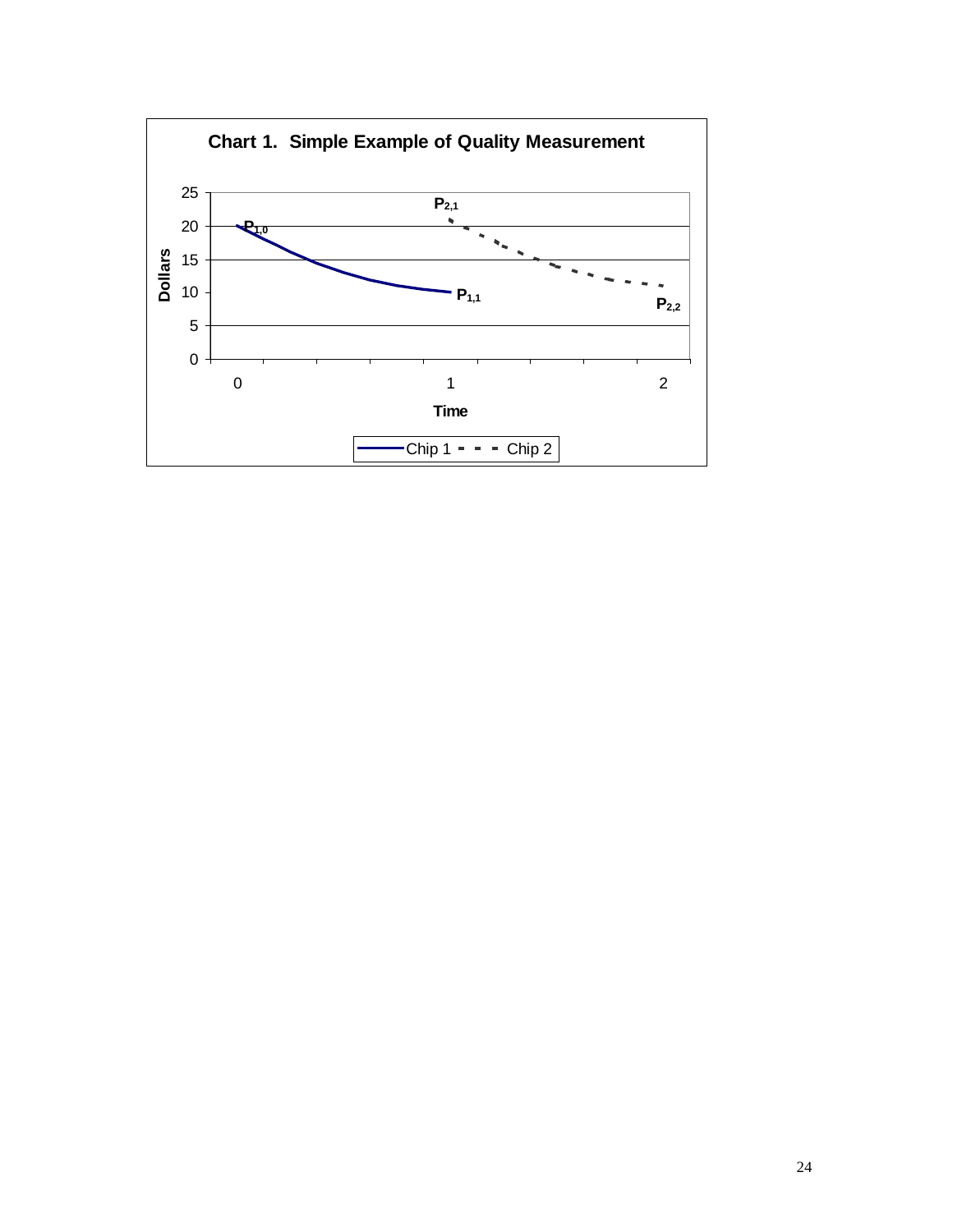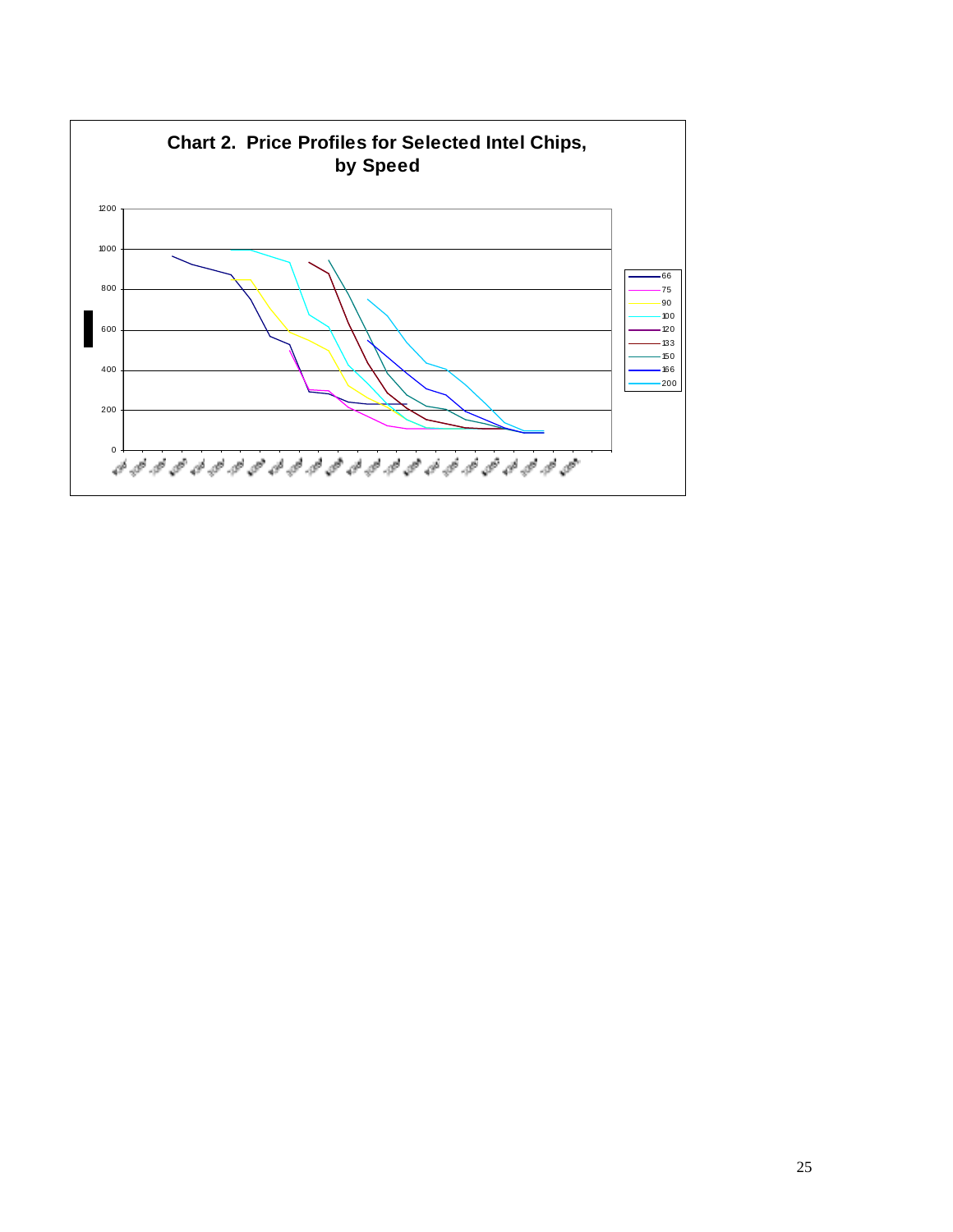